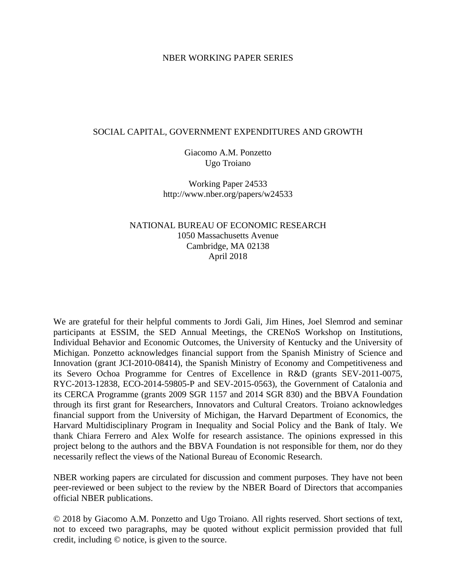#### NBER WORKING PAPER SERIES

#### SOCIAL CAPITAL, GOVERNMENT EXPENDITURES AND GROWTH

Giacomo A.M. Ponzetto Ugo Troiano

Working Paper 24533 http://www.nber.org/papers/w24533

### NATIONAL BUREAU OF ECONOMIC RESEARCH 1050 Massachusetts Avenue Cambridge, MA 02138 April 2018

We are grateful for their helpful comments to Jordi Gali, Jim Hines, Joel Slemrod and seminar participants at ESSIM, the SED Annual Meetings, the CRENoS Workshop on Institutions, Individual Behavior and Economic Outcomes, the University of Kentucky and the University of Michigan. Ponzetto acknowledges financial support from the Spanish Ministry of Science and Innovation (grant JCI-2010-08414), the Spanish Ministry of Economy and Competitiveness and its Severo Ochoa Programme for Centres of Excellence in R&D (grants SEV-2011-0075, RYC-2013-12838, ECO-2014-59805-P and SEV-2015-0563), the Government of Catalonia and its CERCA Programme (grants 2009 SGR 1157 and 2014 SGR 830) and the BBVA Foundation through its first grant for Researchers, Innovators and Cultural Creators. Troiano acknowledges financial support from the University of Michigan, the Harvard Department of Economics, the Harvard Multidisciplinary Program in Inequality and Social Policy and the Bank of Italy. We thank Chiara Ferrero and Alex Wolfe for research assistance. The opinions expressed in this project belong to the authors and the BBVA Foundation is not responsible for them, nor do they necessarily reflect the views of the National Bureau of Economic Research.

NBER working papers are circulated for discussion and comment purposes. They have not been peer-reviewed or been subject to the review by the NBER Board of Directors that accompanies official NBER publications.

© 2018 by Giacomo A.M. Ponzetto and Ugo Troiano. All rights reserved. Short sections of text, not to exceed two paragraphs, may be quoted without explicit permission provided that full credit, including © notice, is given to the source.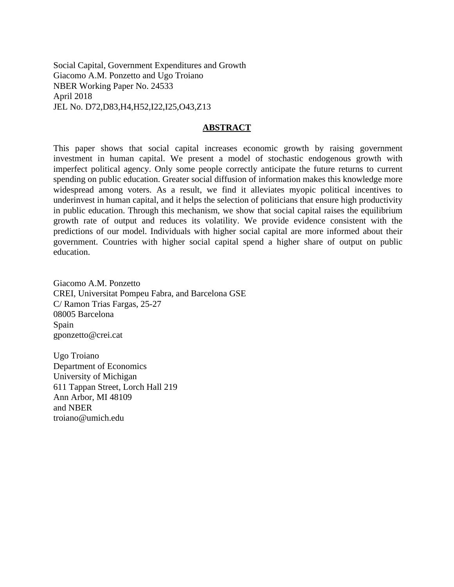Social Capital, Government Expenditures and Growth Giacomo A.M. Ponzetto and Ugo Troiano NBER Working Paper No. 24533 April 2018 JEL No. D72,D83,H4,H52,I22,I25,O43,Z13

### **ABSTRACT**

This paper shows that social capital increases economic growth by raising government investment in human capital. We present a model of stochastic endogenous growth with imperfect political agency. Only some people correctly anticipate the future returns to current spending on public education. Greater social diffusion of information makes this knowledge more widespread among voters. As a result, we find it alleviates myopic political incentives to underinvest in human capital, and it helps the selection of politicians that ensure high productivity in public education. Through this mechanism, we show that social capital raises the equilibrium growth rate of output and reduces its volatility. We provide evidence consistent with the predictions of our model. Individuals with higher social capital are more informed about their government. Countries with higher social capital spend a higher share of output on public education.

Giacomo A.M. Ponzetto CREI, Universitat Pompeu Fabra, and Barcelona GSE C/ Ramon Trias Fargas, 25-27 08005 Barcelona Spain gponzetto@crei.cat

Ugo Troiano Department of Economics University of Michigan 611 Tappan Street, Lorch Hall 219 Ann Arbor, MI 48109 and NBER troiano@umich.edu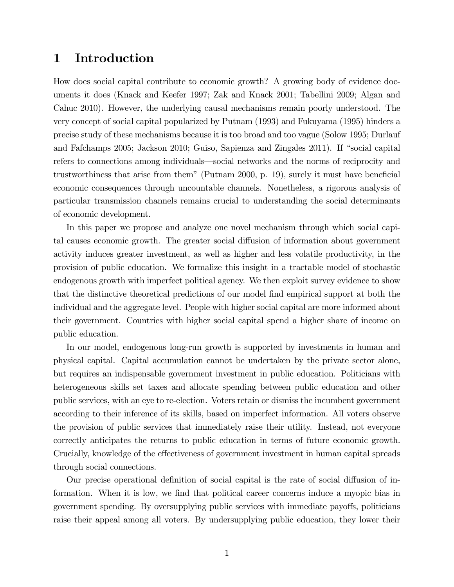# 1 Introduction

How does social capital contribute to economic growth? A growing body of evidence documents it does (Knack and Keefer 1997; Zak and Knack 2001; Tabellini 2009; Algan and Cahuc 2010). However, the underlying causal mechanisms remain poorly understood. The very concept of social capital popularized by Putnam (1993) and Fukuyama (1995) hinders a precise study of these mechanisms because it is too broad and too vague (Solow 1995; Durlauf and Fafchamps 2005; Jackson 2010; Guiso, Sapienza and Zingales 2011). If "social capital refers to connections among individuals—social networks and the norms of reciprocity and trustworthiness that arise from them" (Putnam 2000, p. 19), surely it must have beneficial economic consequences through uncountable channels. Nonetheless, a rigorous analysis of particular transmission channels remains crucial to understanding the social determinants of economic development.

In this paper we propose and analyze one novel mechanism through which social capital causes economic growth. The greater social diffusion of information about government activity induces greater investment, as well as higher and less volatile productivity, in the provision of public education. We formalize this insight in a tractable model of stochastic endogenous growth with imperfect political agency. We then exploit survey evidence to show that the distinctive theoretical predictions of our model Önd empirical support at both the individual and the aggregate level. People with higher social capital are more informed about their government. Countries with higher social capital spend a higher share of income on public education.

In our model, endogenous long-run growth is supported by investments in human and physical capital. Capital accumulation cannot be undertaken by the private sector alone, but requires an indispensable government investment in public education. Politicians with heterogeneous skills set taxes and allocate spending between public education and other public services, with an eye to re-election. Voters retain or dismiss the incumbent government according to their inference of its skills, based on imperfect information. All voters observe the provision of public services that immediately raise their utility. Instead, not everyone correctly anticipates the returns to public education in terms of future economic growth. Crucially, knowledge of the effectiveness of government investment in human capital spreads through social connections.

Our precise operational definition of social capital is the rate of social diffusion of information. When it is low, we find that political career concerns induce a myopic bias in government spending. By oversupplying public services with immediate payoffs, politicians raise their appeal among all voters. By undersupplying public education, they lower their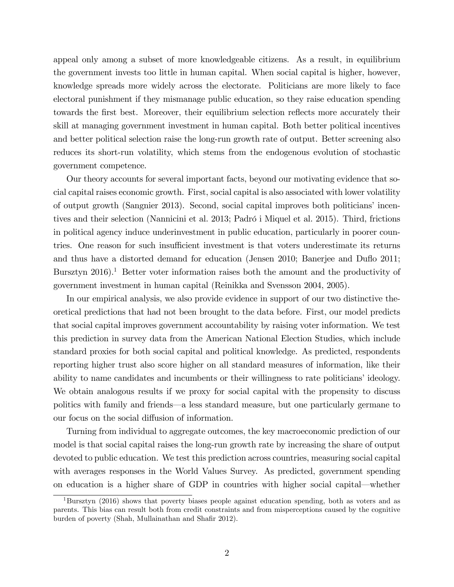appeal only among a subset of more knowledgeable citizens. As a result, in equilibrium the government invests too little in human capital. When social capital is higher, however, knowledge spreads more widely across the electorate. Politicians are more likely to face electoral punishment if they mismanage public education, so they raise education spending towards the first best. Moreover, their equilibrium selection reflects more accurately their skill at managing government investment in human capital. Both better political incentives and better political selection raise the long-run growth rate of output. Better screening also reduces its short-run volatility, which stems from the endogenous evolution of stochastic government competence.

Our theory accounts for several important facts, beyond our motivating evidence that social capital raises economic growth. First, social capital is also associated with lower volatility of output growth (Sangnier 2013). Second, social capital improves both politicians' incentives and their selection (Nannicini et al. 2013; Padró i Miquel et al. 2015). Third, frictions in political agency induce underinvestment in public education, particularly in poorer countries. One reason for such insufficient investment is that voters underestimate its returns and thus have a distorted demand for education (Jensen 2010; Banerjee and Duflo 2011; Bursztyn  $2016$ .<sup>1</sup> Better voter information raises both the amount and the productivity of government investment in human capital (Reinikka and Svensson 2004, 2005).

In our empirical analysis, we also provide evidence in support of our two distinctive theoretical predictions that had not been brought to the data before. First, our model predicts that social capital improves government accountability by raising voter information. We test this prediction in survey data from the American National Election Studies, which include standard proxies for both social capital and political knowledge. As predicted, respondents reporting higher trust also score higher on all standard measures of information, like their ability to name candidates and incumbents or their willingness to rate politicians' ideology. We obtain analogous results if we proxy for social capital with the propensity to discuss politics with family and friends—a less standard measure, but one particularly germane to our focus on the social diffusion of information.

Turning from individual to aggregate outcomes, the key macroeconomic prediction of our model is that social capital raises the long-run growth rate by increasing the share of output devoted to public education. We test this prediction across countries, measuring social capital with averages responses in the World Values Survey. As predicted, government spending on education is a higher share of GDP in countries with higher social capital—whether

<sup>1</sup>Bursztyn (2016) shows that poverty biases people against education spending, both as voters and as parents. This bias can result both from credit constraints and from misperceptions caused by the cognitive burden of poverty (Shah, Mullainathan and Shafir 2012).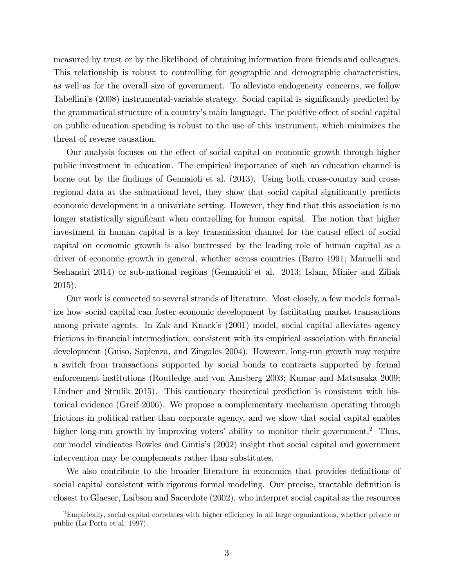measured by trust or by the likelihood of obtaining information from friends and colleagues. This relationship is robust to controlling for geographic and demographic characteristics, as well as for the overall size of government. To alleviate endogeneity concerns, we follow Tabellini's (2008) instrumental-variable strategy. Social capital is significantly predicted by the grammatical structure of a country's main language. The positive effect of social capital on public education spending is robust to the use of this instrument, which minimizes the threat of reverse causation.

Our analysis focuses on the effect of social capital on economic growth through higher public investment in education. The empirical importance of such an education channel is borne out by the Öndings of Gennaioli et al. (2013). Using both cross-country and crossregional data at the subnational level, they show that social capital significantly predicts economic development in a univariate setting. However, they find that this association is no longer statistically significant when controlling for human capital. The notion that higher investment in human capital is a key transmission channel for the causal effect of social capital on economic growth is also buttressed by the leading role of human capital as a driver of economic growth in general, whether across countries (Barro 1991; Manuelli and Seshandri 2014) or sub-national regions (Gennaioli et al. 2013; Islam, Minier and Ziliak 2015).

Our work is connected to several strands of literature. Most closely, a few models formalize how social capital can foster economic development by facilitating market transactions among private agents. In Zak and Knack's (2001) model, social capital alleviates agency frictions in financial intermediation, consistent with its empirical association with financial development (Guiso, Sapienza, and Zingales 2004). However, long-run growth may require a switch from transactions supported by social bonds to contracts supported by formal enforcement institutions (Routledge and von Amsberg 2003; Kumar and Matsusaka 2009; Lindner and Strulik 2015). This cautionary theoretical prediction is consistent with historical evidence (Greif 2006). We propose a complementary mechanism operating through frictions in political rather than corporate agency, and we show that social capital enables higher long-run growth by improving voters' ability to monitor their government.<sup>2</sup> Thus, our model vindicates Bowles and Gintisís (2002) insight that social capital and government intervention may be complements rather than substitutes.

We also contribute to the broader literature in economics that provides definitions of social capital consistent with rigorous formal modeling. Our precise, tractable definition is closest to Glaeser, Laibson and Sacerdote (2002), who interpret social capital as the resources

 ${}^{2}$ Empirically, social capital correlates with higher efficiency in all large organizations, whether private or public (La Porta et al. 1997).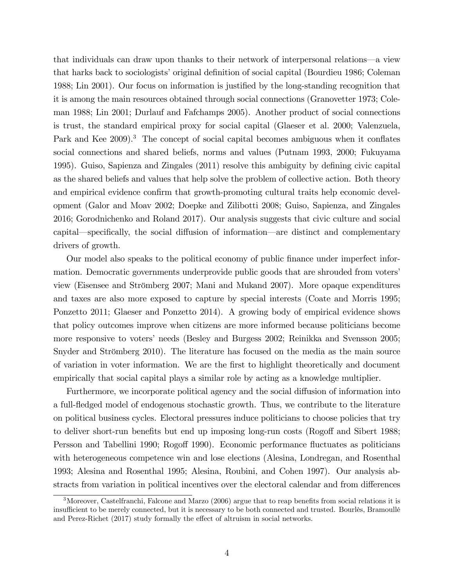that individuals can draw upon thanks to their network of interpersonal relations—a view that harks back to sociologists' original definition of social capital (Bourdieu 1986; Coleman 1988; Lin 2001). Our focus on information is justified by the long-standing recognition that it is among the main resources obtained through social connections (Granovetter 1973; Coleman 1988; Lin 2001; Durlauf and Fafchamps 2005). Another product of social connections is trust, the standard empirical proxy for social capital (Glaeser et al. 2000; Valenzuela, Park and Kee  $2009$ .<sup>3</sup> The concept of social capital becomes ambiguous when it conflates social connections and shared beliefs, norms and values (Putnam 1993, 2000; Fukuyama 1995). Guiso, Sapienza and Zingales (2011) resolve this ambiguity by defining civic capital as the shared beliefs and values that help solve the problem of collective action. Both theory and empirical evidence confirm that growth-promoting cultural traits help economic development (Galor and Moav 2002; Doepke and Zilibotti 2008; Guiso, Sapienza, and Zingales 2016; Gorodnichenko and Roland 2017). Our analysis suggests that civic culture and social capital—specifically, the social diffusion of information—are distinct and complementary drivers of growth.

Our model also speaks to the political economy of public finance under imperfect information. Democratic governments underprovide public goods that are shrouded from voters view (Eisensee and Strömberg 2007; Mani and Mukand 2007). More opaque expenditures and taxes are also more exposed to capture by special interests (Coate and Morris 1995; Ponzetto 2011; Glaeser and Ponzetto 2014). A growing body of empirical evidence shows that policy outcomes improve when citizens are more informed because politicians become more responsive to voters' needs (Besley and Burgess 2002; Reinikka and Svensson 2005; Snyder and Strömberg 2010). The literature has focused on the media as the main source of variation in voter information. We are the Örst to highlight theoretically and document empirically that social capital plays a similar role by acting as a knowledge multiplier.

Furthermore, we incorporate political agency and the social diffusion of information into a full-fledged model of endogenous stochastic growth. Thus, we contribute to the literature on political business cycles. Electoral pressures induce politicians to choose policies that try to deliver short-run benefits but end up imposing long-run costs (Rogoff and Sibert 1988; Persson and Tabellini 1990; Rogoff 1990). Economic performance fluctuates as politicians with heterogeneous competence win and lose elections (Alesina, Londregan, and Rosenthal 1993; Alesina and Rosenthal 1995; Alesina, Roubini, and Cohen 1997). Our analysis abstracts from variation in political incentives over the electoral calendar and from differences

 $3$ Moreover, Castelfranchi, Falcone and Marzo (2006) argue that to reap benefits from social relations it is insufficient to be merely connected, but it is necessary to be both connected and trusted. Bourlès, Bramoullé and Perez-Richet  $(2017)$  study formally the effect of altruism in social networks.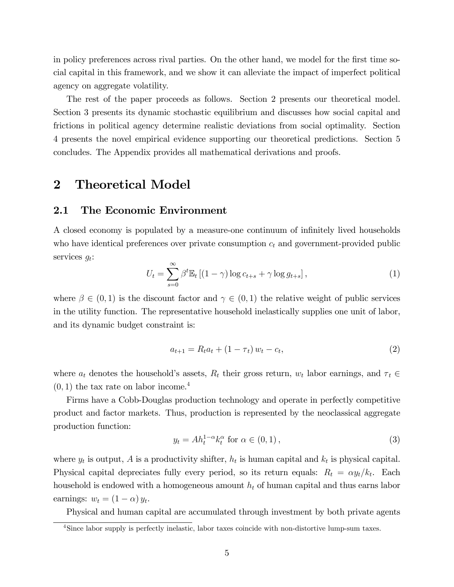in policy preferences across rival parties. On the other hand, we model for the first time social capital in this framework, and we show it can alleviate the impact of imperfect political agency on aggregate volatility.

The rest of the paper proceeds as follows. Section 2 presents our theoretical model. Section 3 presents its dynamic stochastic equilibrium and discusses how social capital and frictions in political agency determine realistic deviations from social optimality. Section 4 presents the novel empirical evidence supporting our theoretical predictions. Section 5 concludes. The Appendix provides all mathematical derivations and proofs.

# 2 Theoretical Model

#### 2.1 The Economic Environment

A closed economy is populated by a measure-one continuum of infinitely lived households who have identical preferences over private consumption  $c_t$  and government-provided public services  $g_t$ :

$$
U_t = \sum_{s=0}^{\infty} \beta^t \mathbb{E}_t \left[ (1 - \gamma) \log c_{t+s} + \gamma \log g_{t+s} \right],\tag{1}
$$

where  $\beta \in (0,1)$  is the discount factor and  $\gamma \in (0,1)$  the relative weight of public services in the utility function. The representative household inelastically supplies one unit of labor, and its dynamic budget constraint is:

$$
a_{t+1} = R_t a_t + (1 - \tau_t) w_t - c_t,
$$
\n(2)

where  $a_t$  denotes the household's assets,  $R_t$  their gross return,  $w_t$  labor earnings, and  $\tau_t \in$  $(0, 1)$  the tax rate on labor income.<sup>4</sup>

Firms have a Cobb-Douglas production technology and operate in perfectly competitive product and factor markets. Thus, production is represented by the neoclassical aggregate production function:

$$
y_t = Ah_t^{1-\alpha} k_t^{\alpha} \text{ for } \alpha \in (0,1), \tag{3}
$$

where  $y_t$  is output, A is a productivity shifter,  $h_t$  is human capital and  $k_t$  is physical capital. Physical capital depreciates fully every period, so its return equals:  $R_t = \alpha y_t/k_t$ . Each household is endowed with a homogeneous amount  $h_t$  of human capital and thus earns labor earnings:  $w_t = (1 - \alpha) y_t$ .

Physical and human capital are accumulated through investment by both private agents

<sup>&</sup>lt;sup>4</sup>Since labor supply is perfectly inelastic, labor taxes coincide with non-distortive lump-sum taxes.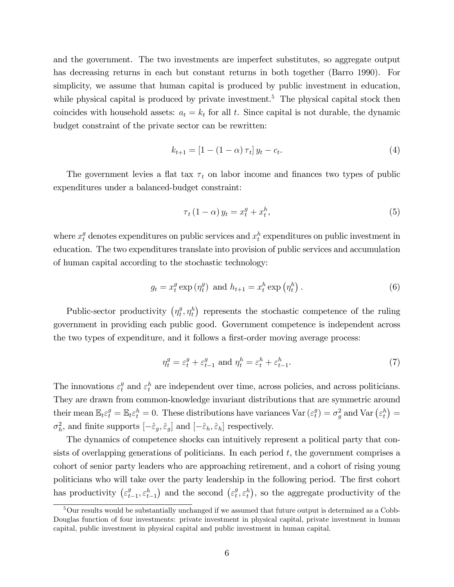and the government. The two investments are imperfect substitutes, so aggregate output has decreasing returns in each but constant returns in both together (Barro 1990). For simplicity, we assume that human capital is produced by public investment in education, while physical capital is produced by private investment.<sup>5</sup> The physical capital stock then coincides with household assets:  $a_t = k_t$  for all t. Since capital is not durable, the dynamic budget constraint of the private sector can be rewritten:

$$
k_{t+1} = [1 - (1 - \alpha) \tau_t] y_t - c_t.
$$
 (4)

The government levies a flat tax  $\tau_t$  on labor income and finances two types of public expenditures under a balanced-budget constraint:

$$
\tau_t (1 - \alpha) y_t = x_t^g + x_t^h, \tag{5}
$$

where  $x_t^g$  denotes expenditures on public services and  $x_t^h$  expenditures on public investment in education. The two expenditures translate into provision of public services and accumulation of human capital according to the stochastic technology:

$$
g_t = x_t^g \exp\left(\eta_t^g\right) \text{ and } h_{t+1} = x_t^h \exp\left(\eta_t^h\right). \tag{6}
$$

Public-sector productivity  $(\eta_t^g)$  $(t<sup>g</sup>, \eta<sub>t</sub><sup>h</sup>)$  represents the stochastic competence of the ruling government in providing each public good. Government competence is independent across the two types of expenditure, and it follows a first-order moving average process:

$$
\eta_t^g = \varepsilon_t^g + \varepsilon_{t-1}^g \text{ and } \eta_t^h = \varepsilon_t^h + \varepsilon_{t-1}^h. \tag{7}
$$

The innovations  $\varepsilon_t^g$  and  $\varepsilon_t^h$  are independent over time, across policies, and across politicians. They are drawn from common-knowledge invariant distributions that are symmetric around their mean  $\mathbb{E}_t \varepsilon_t^g = \mathbb{E}_t \varepsilon_t^h = 0$ . These distributions have variances Var  $(\varepsilon_t^g)$  $\sigma_d^g$  and Var  $(\varepsilon_t^h)$  =  $\sigma_h^2$ , and finite supports  $[-\hat{\varepsilon}_g, \hat{\varepsilon}_g]$  and  $[-\hat{\varepsilon}_h, \hat{\varepsilon}_h]$  respectively.

The dynamics of competence shocks can intuitively represent a political party that consists of overlapping generations of politicians. In each period  $t$ , the government comprises a cohort of senior party leaders who are approaching retirement, and a cohort of rising young politicians who will take over the party leadership in the following period. The first cohort has productivity  $\begin{pmatrix} \varepsilon_t^g \\ \end{pmatrix}$  $\left( \varepsilon_{t-1}^{g}, \varepsilon_{t-1}^{h} \right)$  and the second  $\left( \varepsilon_{t}^{g} \right)$  $(t^g, \varepsilon_t^h)$ , so the aggregate productivity of the

 $5$ Our results would be substantially unchanged if we assumed that future output is determined as a Cobb-Douglas function of four investments: private investment in physical capital, private investment in human capital, public investment in physical capital and public investment in human capital.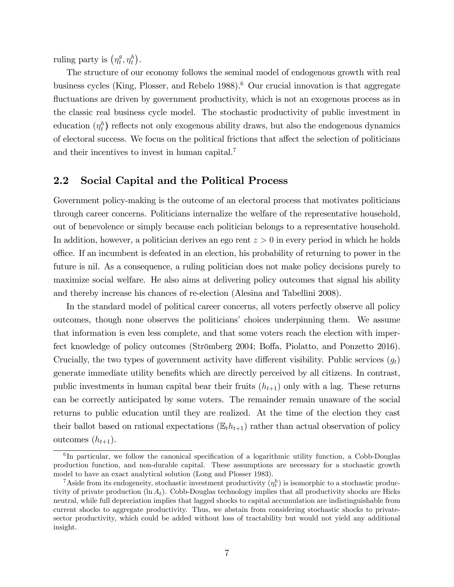ruling party is  $(\eta_t^g)$  $_{t}^{g}, \eta_{t}^{h}$ .

The structure of our economy follows the seminal model of endogenous growth with real business cycles (King, Plosser, and Rebelo 1988).<sup>6</sup> Our crucial innovation is that aggregate fluctuations are driven by government productivity, which is not an exogenous process as in the classic real business cycle model. The stochastic productivity of public investment in education  $(\eta_t^h)$  reflects not only exogenous ability draws, but also the endogenous dynamics of electoral success. We focus on the political frictions that a§ect the selection of politicians and their incentives to invest in human capital.<sup>7</sup>

### 2.2 Social Capital and the Political Process

Government policy-making is the outcome of an electoral process that motivates politicians through career concerns. Politicians internalize the welfare of the representative household, out of benevolence or simply because each politician belongs to a representative household. In addition, however, a politician derives an ego rent  $z > 0$  in every period in which he holds o¢ ce. If an incumbent is defeated in an election, his probability of returning to power in the future is nil. As a consequence, a ruling politician does not make policy decisions purely to maximize social welfare. He also aims at delivering policy outcomes that signal his ability and thereby increase his chances of re-election (Alesina and Tabellini 2008).

In the standard model of political career concerns, all voters perfectly observe all policy outcomes, though none observes the politicians' choices underpinning them. We assume that information is even less complete, and that some voters reach the election with imperfect knowledge of policy outcomes (Strömberg 2004; Boffa, Piolatto, and Ponzetto 2016). Crucially, the two types of government activity have different visibility. Public services  $(q_t)$ generate immediate utility benefits which are directly perceived by all citizens. In contrast, public investments in human capital bear their fruits  $(h_{t+1})$  only with a lag. These returns can be correctly anticipated by some voters. The remainder remain unaware of the social returns to public education until they are realized. At the time of the election they cast their ballot based on rational expectations  $(\mathbb{E}_t h_{t+1})$  rather than actual observation of policy outcomes  $(h_{t+1})$ .

<sup>&</sup>lt;sup>6</sup>In particular, we follow the canonical specification of a logarithmic utility function, a Cobb-Douglas production function, and non-durable capital. These assumptions are necessary for a stochastic growth model to have an exact analytical solution (Long and Plosser 1983).

<sup>&</sup>lt;sup>7</sup>Aside from its endogeneity, stochastic investment productivity  $(\eta_t^h)$  is isomorphic to a stochastic productivity of private production  $(\ln A_t)$ . Cobb-Douglas technology implies that all productivity shocks are Hicks neutral, while full depreciation implies that lagged shocks to capital accumulation are indistinguishable from current shocks to aggregate productivity. Thus, we abstain from considering stochastic shocks to privatesector productivity, which could be added without loss of tractability but would not yield any additional insight.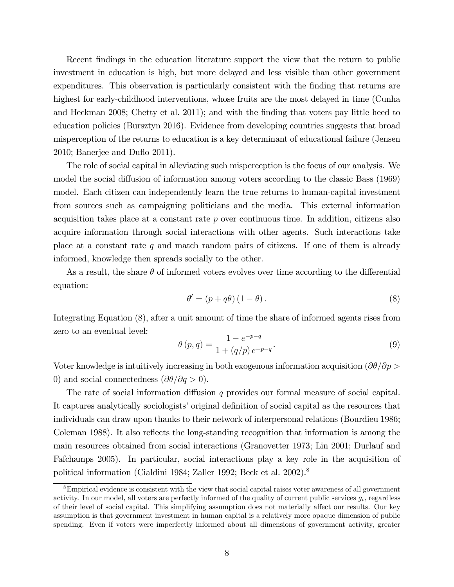Recent findings in the education literature support the view that the return to public investment in education is high, but more delayed and less visible than other government expenditures. This observation is particularly consistent with the finding that returns are highest for early-childhood interventions, whose fruits are the most delayed in time (Cunha and Heckman 2008; Chetty et al. 2011); and with the finding that voters pay little heed to education policies (Bursztyn 2016). Evidence from developing countries suggests that broad misperception of the returns to education is a key determinant of educational failure (Jensen  $2010$ ; Banerjee and Duflo  $2011$ ).

The role of social capital in alleviating such misperception is the focus of our analysis. We model the social diffusion of information among voters according to the classic Bass (1969) model. Each citizen can independently learn the true returns to human-capital investment from sources such as campaigning politicians and the media. This external information acquisition takes place at a constant rate  $p$  over continuous time. In addition, citizens also acquire information through social interactions with other agents. Such interactions take place at a constant rate  $q$  and match random pairs of citizens. If one of them is already informed, knowledge then spreads socially to the other.

As a result, the share  $\theta$  of informed voters evolves over time according to the differential equation:

$$
\theta' = (p + q\theta) (1 - \theta). \tag{8}
$$

Integrating Equation (8), after a unit amount of time the share of informed agents rises from zero to an eventual level:

$$
\theta(p,q) = \frac{1 - e^{-p-q}}{1 + (q/p) e^{-p-q}}.
$$
\n(9)

Voter knowledge is intuitively increasing in both exogenous information acquisition  $\left(\frac{\partial \theta}{\partial p}\right)$ 0) and social connectedness  $(\partial \theta / \partial q > 0)$ .

The rate of social information diffusion q provides our formal measure of social capital. It captures analytically sociologists' original definition of social capital as the resources that individuals can draw upon thanks to their network of interpersonal relations (Bourdieu 1986; Coleman 1988). It also reflects the long-standing recognition that information is among the main resources obtained from social interactions (Granovetter 1973; Lin 2001; Durlauf and Fafchamps 2005). In particular, social interactions play a key role in the acquisition of political information (Cialdini 1984; Zaller 1992; Beck et al. 2002).<sup>8</sup>

<sup>8</sup>Empirical evidence is consistent with the view that social capital raises voter awareness of all government activity. In our model, all voters are perfectly informed of the quality of current public services  $g_t$ , regardless of their level of social capital. This simplifying assumption does not materially affect our results. Our key assumption is that government investment in human capital is a relatively more opaque dimension of public spending. Even if voters were imperfectly informed about all dimensions of government activity, greater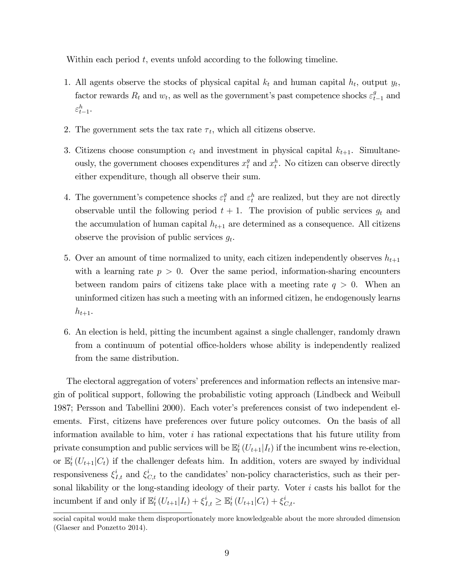Within each period  $t$ , events unfold according to the following timeline.

- 1. All agents observe the stocks of physical capital  $k_t$  and human capital  $h_t$ , output  $y_t$ , factor rewards  $R_t$  and  $w_t$ , as well as the government's past competence shocks  $\varepsilon_{t-1}^g$  and  $\varepsilon_{t-1}^h$ .
- 2. The government sets the tax rate  $\tau_t$ , which all citizens observe.
- 3. Citizens choose consumption  $c_t$  and investment in physical capital  $k_{t+1}$ . Simultaneously, the government chooses expenditures  $x_t^g$  and  $x_t^h$ . No citizen can observe directly either expenditure, though all observe their sum.
- 4. The government's competence shocks  $\varepsilon_t^g$  and  $\varepsilon_t^h$  are realized, but they are not directly observable until the following period  $t + 1$ . The provision of public services  $g_t$  and the accumulation of human capital  $h_{t+1}$  are determined as a consequence. All citizens observe the provision of public services  $g_t$ .
- 5. Over an amount of time normalized to unity, each citizen independently observes  $h_{t+1}$ with a learning rate  $p > 0$ . Over the same period, information-sharing encounters between random pairs of citizens take place with a meeting rate  $q > 0$ . When an uninformed citizen has such a meeting with an informed citizen, he endogenously learns  $h_{t+1}$ .
- 6. An election is held, pitting the incumbent against a single challenger, randomly drawn from a continuum of potential office-holders whose ability is independently realized from the same distribution.

The electoral aggregation of voters' preferences and information reflects an intensive margin of political support, following the probabilistic voting approach (Lindbeck and Weibull 1987; Persson and Tabellini 2000). Each voterís preferences consist of two independent elements. First, citizens have preferences over future policy outcomes. On the basis of all information available to him, voter  $i$  has rational expectations that his future utility from private consumption and public services will be  $\mathbb{E}_t^i(U_{t+1}|I_t)$  if the incumbent wins re-election, or  $\mathbb{E}_t^i(U_{t+1}|C_t)$  if the challenger defeats him. In addition, voters are swayed by individual responsiveness  $\xi_{I,t}^{i}$  and  $\xi_{C,t}^{i}$  to the candidates' non-policy characteristics, such as their personal likability or the long-standing ideology of their party. Voter  $i$  casts his ballot for the incumbent if and only if  $\mathbb{E}_t^i(U_{t+1}|I_t) + \xi_{I,t}^i \geq \mathbb{E}_t^i(U_{t+1}|C_t) + \xi_{C,t}^i$ .

social capital would make them disproportionately more knowledgeable about the more shrouded dimension (Glaeser and Ponzetto 2014).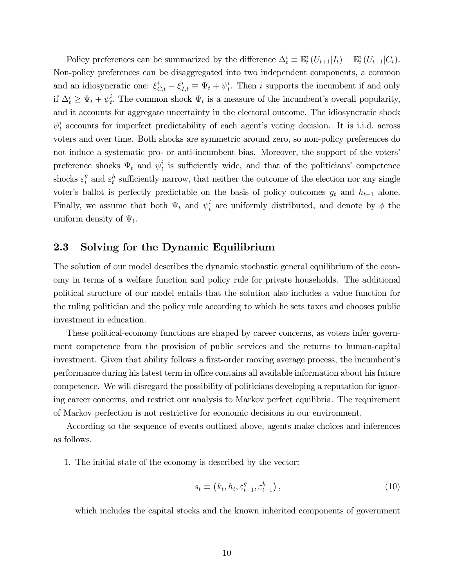Policy preferences can be summarized by the difference  $\Delta_t^i \equiv \mathbb{E}_t^i (U_{t+1}|I_t) - \mathbb{E}_t^i (U_{t+1}|C_t)$ . Non-policy preferences can be disaggregated into two independent components, a common and an idiosyncratic one:  $\xi_{C,t}^i - \xi_{I,t}^i \equiv \Psi_t + \psi_t^i$  $t_t^i$ . Then i supports the incumbent if and only if  $\Delta_t^i \geq \Psi_t + \psi_t^i$  $t_t^i$ . The common shock  $\Psi_t$  is a measure of the incumbent's overall popularity, and it accounts for aggregate uncertainty in the electoral outcome. The idiosyncratic shock  $\psi_t^i$  accounts for imperfect predictability of each agent's voting decision. It is i.i.d. across voters and over time. Both shocks are symmetric around zero, so non-policy preferences do not induce a systematic pro- or anti-incumbent bias. Moreover, the support of the voters' preference shocks  $\Psi_t$  and  $\psi_t^i$  $t<sub>t</sub>$  is sufficiently wide, and that of the politicians' competence shocks  $\varepsilon_t^g$  and  $\varepsilon_t^h$  sufficiently narrow, that neither the outcome of the election nor any single voter's ballot is perfectly predictable on the basis of policy outcomes  $g_t$  and  $h_{t+1}$  alone. Finally, we assume that both  $\Psi_t$  and  $\psi_t^i$  are uniformly distributed, and denote by  $\phi$  the uniform density of  $\Psi_t$ .

### 2.3 Solving for the Dynamic Equilibrium

The solution of our model describes the dynamic stochastic general equilibrium of the economy in terms of a welfare function and policy rule for private households. The additional political structure of our model entails that the solution also includes a value function for the ruling politician and the policy rule according to which he sets taxes and chooses public investment in education.

These political-economy functions are shaped by career concerns, as voters infer government competence from the provision of public services and the returns to human-capital investment. Given that ability follows a first-order moving average process, the incumbent's performance during his latest term in office contains all available information about his future competence. We will disregard the possibility of politicians developing a reputation for ignoring career concerns, and restrict our analysis to Markov perfect equilibria. The requirement of Markov perfection is not restrictive for economic decisions in our environment.

According to the sequence of events outlined above, agents make choices and inferences as follows.

1. The initial state of the economy is described by the vector:

$$
s_t \equiv \left(k_t, h_t, \varepsilon_{t-1}^g, \varepsilon_{t-1}^h\right),\tag{10}
$$

which includes the capital stocks and the known inherited components of government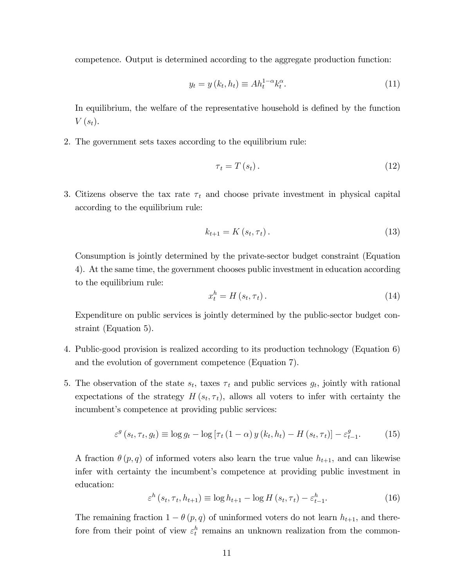competence. Output is determined according to the aggregate production function:

$$
y_t = y(k_t, h_t) \equiv Ah_t^{1-\alpha} k_t^{\alpha}.
$$
 (11)

In equilibrium, the welfare of the representative household is defined by the function  $V(s_t)$ .

2. The government sets taxes according to the equilibrium rule:

$$
\tau_t = T(s_t). \tag{12}
$$

3. Citizens observe the tax rate  $\tau_t$  and choose private investment in physical capital according to the equilibrium rule:

$$
k_{t+1} = K\left(s_t, \tau_t\right). \tag{13}
$$

Consumption is jointly determined by the private-sector budget constraint (Equation 4). At the same time, the government chooses public investment in education according to the equilibrium rule:

$$
x_t^h = H\left(s_t, \tau_t\right). \tag{14}
$$

Expenditure on public services is jointly determined by the public-sector budget constraint (Equation 5).

- 4. Public-good provision is realized according to its production technology (Equation 6) and the evolution of government competence (Equation 7).
- 5. The observation of the state  $s_t$ , taxes  $\tau_t$  and public services  $g_t$ , jointly with rational expectations of the strategy  $H(s_t, \tau_t)$ , allows all voters to infer with certainty the incumbent's competence at providing public services:

$$
\varepsilon^{g} \left(s_{t}, \tau_{t}, g_{t}\right) \equiv \log g_{t} - \log\left[\tau_{t} \left(1-\alpha\right) y\left(k_{t}, h_{t}\right) - H\left(s_{t}, \tau_{t}\right)\right] - \varepsilon_{t-1}^{g}.\tag{15}
$$

A fraction  $\theta(p,q)$  of informed voters also learn the true value  $h_{t+1}$ , and can likewise infer with certainty the incumbent's competence at providing public investment in education:

$$
\varepsilon^{h}\left(s_{t},\tau_{t},h_{t+1}\right) \equiv \log h_{t+1} - \log H\left(s_{t},\tau_{t}\right) - \varepsilon_{t-1}^{h}.\tag{16}
$$

The remaining fraction  $1 - \theta(p, q)$  of uninformed voters do not learn  $h_{t+1}$ , and therefore from their point of view  $\varepsilon_t^h$  remains an unknown realization from the common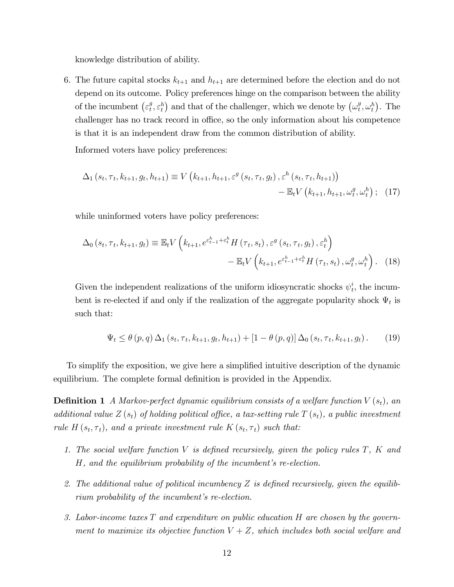knowledge distribution of ability.

6. The future capital stocks  $k_{t+1}$  and  $h_{t+1}$  are determined before the election and do not depend on its outcome. Policy preferences hinge on the comparison between the ability of the incumbent  $(\varepsilon_t^g)$  $\mathbf{f}_t^g, \varepsilon_t^h$  and that of the challenger, which we denote by  $(\omega_t^g)$  $_t^g, \omega_t^h$ ). The challenger has no track record in office, so the only information about his competence is that it is an independent draw from the common distribution of ability.

Informed voters have policy preferences:

$$
\Delta_{1}(s_{t}, \tau_{t}, k_{t+1}, g_{t}, h_{t+1}) \equiv V\left(k_{t+1}, h_{t+1}, \varepsilon^{g}(s_{t}, \tau_{t}, g_{t}), \varepsilon^{h}(s_{t}, \tau_{t}, h_{t+1})\right) - \mathbb{E}_{t}V\left(k_{t+1}, h_{t+1}, \omega_{t}^{g}, \omega_{t}^{h}\right); \quad (17)
$$

while uninformed voters have policy preferences:

$$
\Delta_0(s_t, \tau_t, k_{t+1}, g_t) \equiv \mathbb{E}_t V\left(k_{t+1}, e^{\varepsilon_{t-1}^h + \varepsilon_t^h} H(\tau_t, s_t), \varepsilon^g(s_t, \tau_t, g_t), \varepsilon_t^h\right) - \mathbb{E}_t V\left(k_{t+1}, e^{\varepsilon_{t-1}^h + \varepsilon_t^h} H(\tau_t, s_t), \omega_t^g, \omega_t^h\right). \tag{18}
$$

Given the independent realizations of the uniform idiosyncratic shocks  $\psi_t^i$  $_t^i$ , the incumbent is re-elected if and only if the realization of the aggregate popularity shock  $\Psi_t$  is such that:

$$
\Psi_t \le \theta(p,q) \, \Delta_1 \left( s_t, \tau_t, k_{t+1}, g_t, h_{t+1} \right) + \left[ 1 - \theta(p,q) \right] \Delta_0 \left( s_t, \tau_t, k_{t+1}, g_t \right). \tag{19}
$$

To simplify the exposition, we give here a simplified intuitive description of the dynamic equilibrium. The complete formal definition is provided in the Appendix.

**Definition 1** A Markov-perfect dynamic equilibrium consists of a welfare function  $V(s_t)$ , an additional value  $Z(s_t)$  of holding political office, a tax-setting rule  $T(s_t)$ , a public investment rule  $H(s_t, \tau_t)$ , and a private investment rule  $K(s_t, \tau_t)$  such that:

- 1. The social welfare function  $V$  is defined recursively, given the policy rules  $T$ ,  $K$  and  $H$ , and the equilibrium probability of the incumbent's re-election.
- 2. The additional value of political incumbency  $Z$  is defined recursively, given the equilibrium probability of the incumbent's re-election.
- 3. Labor-income taxes T and expenditure on public education H are chosen by the government to maximize its objective function  $V + Z$ , which includes both social welfare and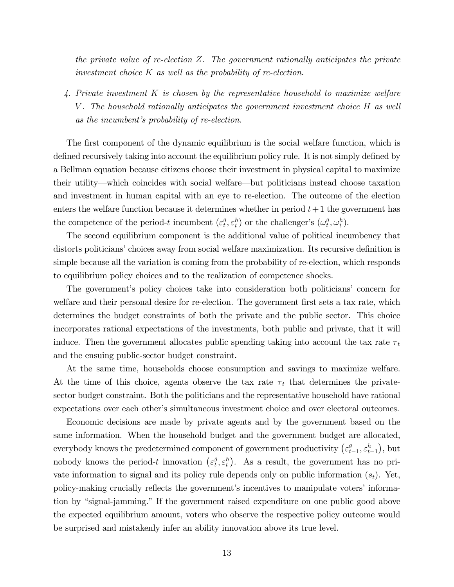the private value of re-election Z. The government rationally anticipates the private investment choice  $K$  as well as the probability of re-election.

4. Private investment K is chosen by the representative household to maximize welfare  $V$ . The household rationally anticipates the government investment choice  $H$  as well as the incumbent's probability of re-election.

The first component of the dynamic equilibrium is the social welfare function, which is defined recursively taking into account the equilibrium policy rule. It is not simply defined by a Bellman equation because citizens choose their investment in physical capital to maximize their utility—which coincides with social welfare—but politicians instead choose taxation and investment in human capital with an eye to re-election. The outcome of the election enters the welfare function because it determines whether in period  $t+1$  the government has the competence of the period-t incumbent  $(\varepsilon_t^g)$  $(\theta_t^g, \varepsilon_t^h)$  or the challenger's  $(\omega_t^g)$  $_t^g, \omega_t^h$ .

The second equilibrium component is the additional value of political incumbency that distorts politicians' choices away from social welfare maximization. Its recursive definition is simple because all the variation is coming from the probability of re-election, which responds to equilibrium policy choices and to the realization of competence shocks.

The government's policy choices take into consideration both politicians' concern for welfare and their personal desire for re-election. The government first sets a tax rate, which determines the budget constraints of both the private and the public sector. This choice incorporates rational expectations of the investments, both public and private, that it will induce. Then the government allocates public spending taking into account the tax rate  $\tau_t$ and the ensuing public-sector budget constraint.

At the same time, households choose consumption and savings to maximize welfare. At the time of this choice, agents observe the tax rate  $\tau_t$  that determines the privatesector budget constraint. Both the politicians and the representative household have rational expectations over each other's simultaneous investment choice and over electoral outcomes.

Economic decisions are made by private agents and by the government based on the same information. When the household budget and the government budget are allocated, everybody knows the predetermined component of government productivity  $(\varepsilon_t^g)$  $_{t-1}^g, \varepsilon_{t-1}^h$ ), but nobody knows the period-t innovation  $(\varepsilon_t^g)$  $(t^g, \varepsilon^h_t)$ . As a result, the government has no private information to signal and its policy rule depends only on public information  $(s_t)$ . Yet, policy-making crucially reflects the government's incentives to manipulate voters' information by "signal-jamming." If the government raised expenditure on one public good above the expected equilibrium amount, voters who observe the respective policy outcome would be surprised and mistakenly infer an ability innovation above its true level.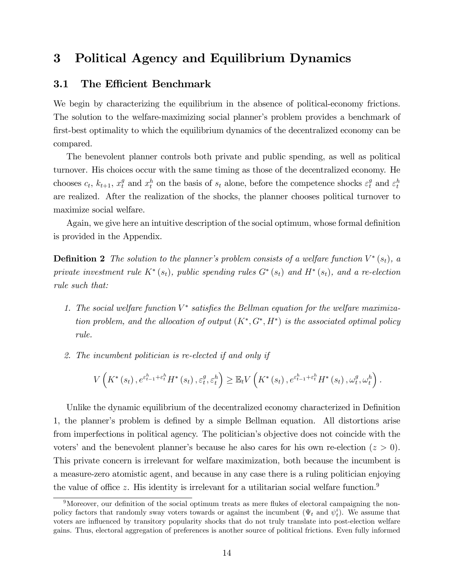# 3 Political Agency and Equilibrium Dynamics

### 3.1 The Efficient Benchmark

We begin by characterizing the equilibrium in the absence of political-economy frictions. The solution to the welfare-maximizing social planner's problem provides a benchmark of first-best optimality to which the equilibrium dynamics of the decentralized economy can be compared.

The benevolent planner controls both private and public spending, as well as political turnover. His choices occur with the same timing as those of the decentralized economy. He chooses  $c_t$ ,  $k_{t+1}$ ,  $x_t^g$  and  $x_t^h$  on the basis of  $s_t$  alone, before the competence shocks  $\varepsilon_t^g$  and  $\varepsilon_t^h$ are realized. After the realization of the shocks, the planner chooses political turnover to maximize social welfare.

Again, we give here an intuitive description of the social optimum, whose formal definition is provided in the Appendix.

**Definition 2** The solution to the planner's problem consists of a welfare function  $V^*(s_t)$ , a private investment rule  $K^*(s_t)$ , public spending rules  $G^*(s_t)$  and  $H^*(s_t)$ , and a re-election rule such that:

- 1. The social welfare function  $V^*$  satisfies the Bellman equation for the welfare maximization problem, and the allocation of output  $(K^*, G^*, H^*)$  is the associated optimal policy rule.
- 2. The incumbent politician is re-elected if and only if

$$
V\left(K^*(s_t), e^{\varepsilon_{t-1}^h + \varepsilon_t^h} H^*(s_t), \varepsilon_t^g, \varepsilon_t^h\right) \geq \mathbb{E}_t V\left(K^*(s_t), e^{\varepsilon_{t-1}^h + \varepsilon_t^h} H^*(s_t), \omega_t^g, \omega_t^h\right).
$$

Unlike the dynamic equilibrium of the decentralized economy characterized in Definition 1, the planner's problem is defined by a simple Bellman equation. All distortions arise from imperfections in political agency. The politicianís objective does not coincide with the voters' and the benevolent planner's because he also cares for his own re-election ( $z > 0$ ). This private concern is irrelevant for welfare maximization, both because the incumbent is a measure-zero atomistic agent, and because in any case there is a ruling politician enjoying the value of office z. His identity is irrelevant for a utilitarian social welfare function.<sup>9</sup>

 $9$ Moreover, our definition of the social optimum treats as mere flukes of electoral campaigning the nonpolicy factors that randomly sway voters towards or against the incumbent  $(\Psi_t$  and  $\psi_t^i$ ). We assume that voters are influenced by transitory popularity shocks that do not truly translate into post-election welfare gains. Thus, electoral aggregation of preferences is another source of political frictions. Even fully informed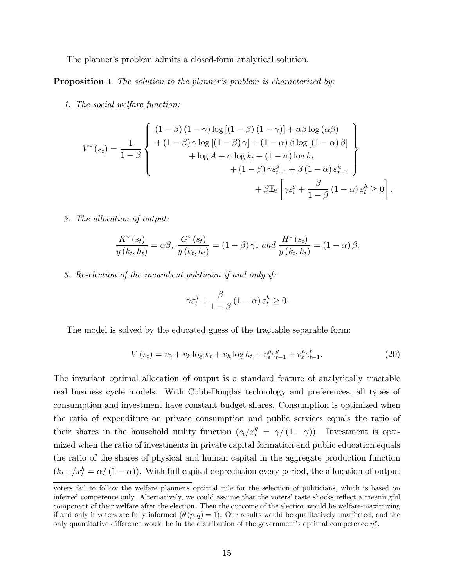The planner's problem admits a closed-form analytical solution.

**Proposition 1** The solution to the planner's problem is characterized by:

1. The social welfare function:

$$
V^*(s_t) = \frac{1}{1-\beta} \begin{cases} (1-\beta)(1-\gamma)\log[(1-\beta)(1-\gamma)] + \alpha\beta\log(\alpha\beta) \\ + (1-\beta)\gamma\log[(1-\beta)\gamma] + (1-\alpha)\beta\log[(1-\alpha)\beta] \\ + \log A + \alpha\log k_t + (1-\alpha)\log h_t \\ + (1-\beta)\gamma\varepsilon_{t-1}^g + \beta(1-\alpha)\varepsilon_{t-1}^h \end{cases} + \beta\mathbb{E}_t \begin{bmatrix} 0 \\ \gamma\varepsilon_t^g + \frac{\beta}{1-\beta}(1-\alpha)\varepsilon_t^h \geq 0 \end{bmatrix}.
$$

2. The allocation of output:

$$
\frac{K^*(s_t)}{y(k_t, h_t)} = \alpha \beta, \frac{G^*(s_t)}{y(k_t, h_t)} = (1 - \beta) \gamma, \text{ and } \frac{H^*(s_t)}{y(k_t, h_t)} = (1 - \alpha) \beta.
$$

3. Re-election of the incumbent politician if and only if:

$$
\gamma \varepsilon_t^g + \frac{\beta}{1-\beta} \left(1-\alpha\right) \varepsilon_t^h \ge 0.
$$

The model is solved by the educated guess of the tractable separable form:

$$
V(s_t) = v_0 + v_k \log k_t + v_h \log h_t + v_\varepsilon^g \varepsilon_{t-1}^g + v_\varepsilon^h \varepsilon_{t-1}^h. \tag{20}
$$

The invariant optimal allocation of output is a standard feature of analytically tractable real business cycle models. With Cobb-Douglas technology and preferences, all types of consumption and investment have constant budget shares. Consumption is optimized when the ratio of expenditure on private consumption and public services equals the ratio of their shares in the household utility function  $(c_t/x_t^g = \gamma/(1-\gamma))$ . Investment is optimized when the ratio of investments in private capital formation and public education equals the ratio of the shares of physical and human capital in the aggregate production function  $(k_{t+1}/x_t^h = \alpha/(1-\alpha)$ . With full capital depreciation every period, the allocation of output

voters fail to follow the welfare planner's optimal rule for the selection of politicians, which is based on inferred competence only. Alternatively, we could assume that the voters' taste shocks reflect a meaningful component of their welfare after the election. Then the outcome of the election would be welfare-maximizing if and only if voters are fully informed  $(\theta(p,q) = 1)$ . Our results would be qualitatively unaffected, and the only quantitative difference would be in the distribution of the government's optimal competence  $\eta_t^*$ .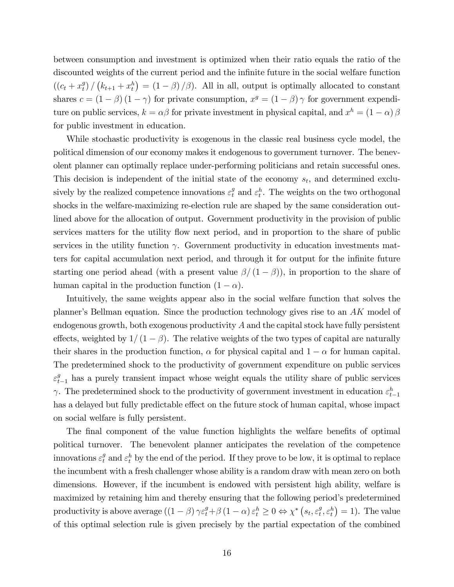between consumption and investment is optimized when their ratio equals the ratio of the discounted weights of the current period and the infinite future in the social welfare function  $((c_t + x_t^g$  $\binom{g}{t}/\left(k_{t+1}+x_t^h\right) = \left(1-\beta\right)/\beta$ . All in all, output is optimally allocated to constant shares  $c = (1 - \beta) (1 - \gamma)$  for private consumption,  $x^g = (1 - \beta) \gamma$  for government expenditure on public services,  $k = \alpha \beta$  for private investment in physical capital, and  $x^h = (1 - \alpha) \beta$ for public investment in education.

While stochastic productivity is exogenous in the classic real business cycle model, the political dimension of our economy makes it endogenous to government turnover. The benevolent planner can optimally replace under-performing politicians and retain successful ones. This decision is independent of the initial state of the economy  $s_t$ , and determined exclusively by the realized competence innovations  $\varepsilon_t^g$  and  $\varepsilon_t^h$ . The weights on the two orthogonal shocks in the welfare-maximizing re-election rule are shaped by the same consideration outlined above for the allocation of output. Government productivity in the provision of public services matters for the utility flow next period, and in proportion to the share of public services in the utility function  $\gamma$ . Government productivity in education investments matters for capital accumulation next period, and through it for output for the infinite future starting one period ahead (with a present value  $\beta/(1-\beta)$ ), in proportion to the share of human capital in the production function  $(1 - \alpha)$ .

Intuitively, the same weights appear also in the social welfare function that solves the planner's Bellman equation. Since the production technology gives rise to an  $AK$  model of endogenous growth, both exogenous productivity  $A$  and the capital stock have fully persistent effects, weighted by  $1/(1 - \beta)$ . The relative weights of the two types of capital are naturally their shares in the production function,  $\alpha$  for physical capital and  $1 - \alpha$  for human capital. The predetermined shock to the productivity of government expenditure on public services  $\varepsilon_{t-1}^{g}$  has a purely transient impact whose weight equals the utility share of public services  $\gamma$ . The predetermined shock to the productivity of government investment in education  $\varepsilon_{t-1}^h$ has a delayed but fully predictable effect on the future stock of human capital, whose impact on social welfare is fully persistent.

The final component of the value function highlights the welfare benefits of optimal political turnover. The benevolent planner anticipates the revelation of the competence innovations  $\varepsilon_t^g$  and  $\varepsilon_t^h$  by the end of the period. If they prove to be low, it is optimal to replace the incumbent with a fresh challenger whose ability is a random draw with mean zero on both dimensions. However, if the incumbent is endowed with persistent high ability, welfare is maximized by retaining him and thereby ensuring that the following period's predetermined productivity is above average  $((1 - \beta) \gamma \varepsilon_t^g + \beta (1 - \alpha) \varepsilon_t^h \ge 0 \Leftrightarrow \chi^* (s_t, \varepsilon_t^g)$  $(t^g, \varepsilon^h_t) = 1$ . The value of this optimal selection rule is given precisely by the partial expectation of the combined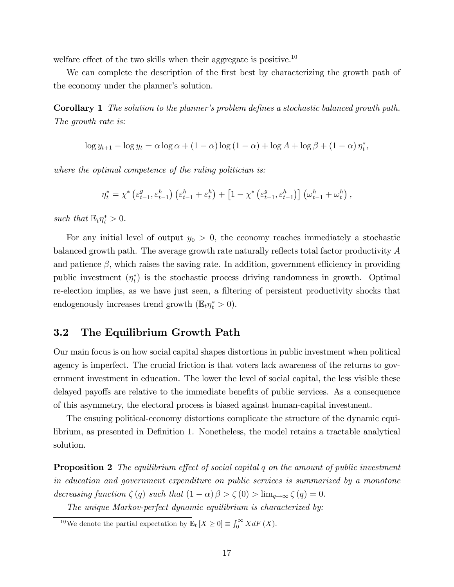welfare effect of the two skills when their aggregate is positive.<sup>10</sup>

We can complete the description of the first best by characterizing the growth path of the economy under the planner's solution.

Corollary 1 The solution to the planner's problem defines a stochastic balanced growth path. The growth rate is:

 $\log y_{t+1} - \log y_t = \alpha \log \alpha + (1 - \alpha) \log (1 - \alpha) + \log A + \log \beta + (1 - \alpha) \eta_t^*$ 

where the optimal competence of the ruling politician is:

 $\eta_t^* = \chi^*\left(\varepsilon_t^g\right)$  $\left( \varepsilon_{t-1}^{(h)}, \varepsilon_{t-1}^{(h)} \right) \left( \varepsilon_{t-1}^{(h)} + \varepsilon_{t}^{(h)} \right) + \left[ 1 - \chi^* \left( \varepsilon_{t}^{(h)} \right) \right]$  $\left[\begin{smallmatrix} g & h \ t-1, & \varepsilon^h_{t-1} \end{smallmatrix}\right] \left(\omega_{t-1}^h + \omega_t^h\right),$ 

such that  $\mathbb{E}_t \eta_t^* > 0$ .

For any initial level of output  $y_0 > 0$ , the economy reaches immediately a stochastic balanced growth path. The average growth rate naturally reflects total factor productivity  $A$ and patience  $\beta$ , which raises the saving rate. In addition, government efficiency in providing public investment  $(\eta_t^*)$  is the stochastic process driving randomness in growth. Optimal re-election implies, as we have just seen, a filtering of persistent productivity shocks that endogenously increases trend growth  $(\mathbb{E}_t \eta_t^* > 0)$ .

## 3.2 The Equilibrium Growth Path

Our main focus is on how social capital shapes distortions in public investment when political agency is imperfect. The crucial friction is that voters lack awareness of the returns to government investment in education. The lower the level of social capital, the less visible these delayed payoffs are relative to the immediate benefits of public services. As a consequence of this asymmetry, the electoral process is biased against human-capital investment.

The ensuing political-economy distortions complicate the structure of the dynamic equilibrium, as presented in Definition 1. Nonetheless, the model retains a tractable analytical solution.

**Proposition 2** The equilibrium effect of social capital q on the amount of public investment in education and government expenditure on public services is summarized by a monotone decreasing function  $\zeta(q)$  such that  $(1 - \alpha) \beta > \zeta(0) > \lim_{q \to \infty} \zeta(q) = 0$ .

The unique Markov-perfect dynamic equilibrium is characterized by:

<sup>10</sup>We denote the partial expectation by  $\mathbb{E}_t [X \ge 0] \equiv \int_0^\infty X dF(X)$ .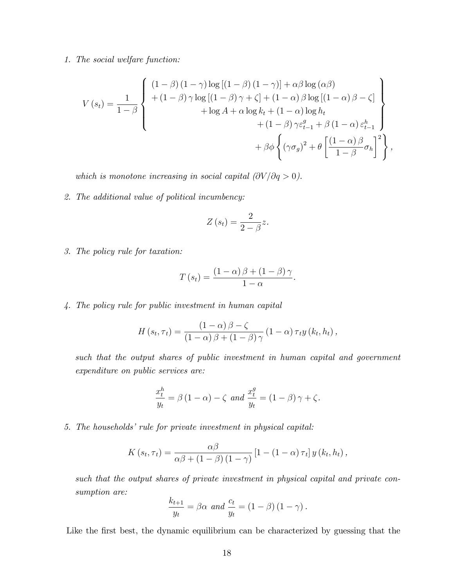#### 1. The social welfare function:

$$
V(s_t) = \frac{1}{1-\beta} \begin{cases} (1-\beta)(1-\gamma)\log[(1-\beta)(1-\gamma)] + \alpha\beta\log(\alpha\beta) \\ + (1-\beta)\gamma\log[(1-\beta)\gamma + \zeta] + (1-\alpha)\beta\log[(1-\alpha)\beta - \zeta] \\ + \log A + \alpha\log k_t + (1-\alpha)\log h_t \\ + (1-\beta)\gamma\varepsilon_{t-1}^g + \beta(1-\alpha)\varepsilon_{t-1}^h \end{cases} + \beta\phi\left\{(\gamma\sigma_g)^2 + \theta\left[\frac{(1-\alpha)\beta}{1-\beta}\sigma_h\right]^2\right\},
$$

which is monotone increasing in social capital  $(\partial V/\partial q > 0)$ .

2. The additional value of political incumbency:

$$
Z\left(s_{t}\right)=\frac{2}{2-\beta}z.
$$

3. The policy rule for taxation:

$$
T(s_t) = \frac{(1-\alpha)\beta + (1-\beta)\gamma}{1-\alpha}.
$$

4. The policy rule for public investment in human capital

$$
H(s_t, \tau_t) = \frac{(1-\alpha)\beta - \zeta}{(1-\alpha)\beta + (1-\beta)\gamma} (1-\alpha) \tau_t y(k_t, h_t),
$$

such that the output shares of public investment in human capital and government expenditure on public services are:

$$
\frac{x_t^h}{y_t} = \beta (1 - \alpha) - \zeta \text{ and } \frac{x_t^g}{y_t} = (1 - \beta) \gamma + \zeta.
$$

5. The households' rule for private investment in physical capital:

$$
K(s_t, \tau_t) = \frac{\alpha \beta}{\alpha \beta + (1 - \beta)(1 - \gamma)} [1 - (1 - \alpha) \tau_t] y(k_t, h_t),
$$

such that the output shares of private investment in physical capital and private consumption are:

$$
\frac{k_{t+1}}{y_t} = \beta \alpha \ and \ \frac{c_t}{y_t} = (1 - \beta) (1 - \gamma).
$$

Like the first best, the dynamic equilibrium can be characterized by guessing that the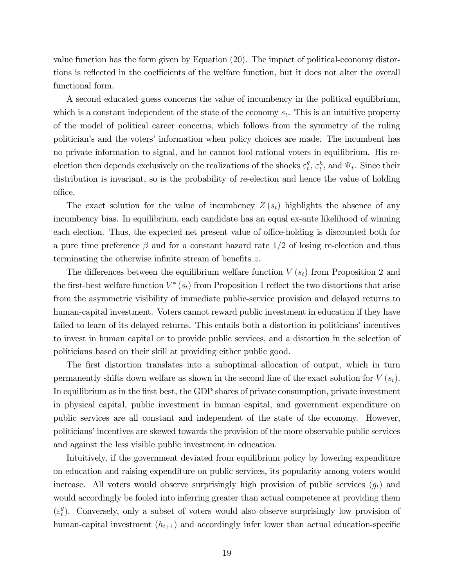value function has the form given by Equation (20). The impact of political-economy distortions is reflected in the coefficients of the welfare function, but it does not alter the overall functional form.

A second educated guess concerns the value of incumbency in the political equilibrium, which is a constant independent of the state of the economy  $s_t$ . This is an intuitive property of the model of political career concerns, which follows from the symmetry of the ruling politician's and the voters' information when policy choices are made. The incumbent has no private information to signal, and he cannot fool rational voters in equilibrium. His reelection then depends exclusively on the realizations of the shocks  $\varepsilon_t^g$  $t^g$ ,  $\varepsilon^h_t$ , and  $\Psi_t$ . Since their distribution is invariant, so is the probability of re-election and hence the value of holding office.

The exact solution for the value of incumbency  $Z(s_t)$  highlights the absence of any incumbency bias. In equilibrium, each candidate has an equal ex-ante likelihood of winning each election. Thus, the expected net present value of office-holding is discounted both for a pure time preference  $\beta$  and for a constant hazard rate  $1/2$  of losing re-election and thus terminating the otherwise infinite stream of benefits  $z$ .

The differences between the equilibrium welfare function  $V(s_t)$  from Proposition 2 and the first-best welfare function  $V^*(s_t)$  from Proposition 1 reflect the two distortions that arise from the asymmetric visibility of immediate public-service provision and delayed returns to human-capital investment. Voters cannot reward public investment in education if they have failed to learn of its delayed returns. This entails both a distortion in politicians' incentives to invest in human capital or to provide public services, and a distortion in the selection of politicians based on their skill at providing either public good.

The first distortion translates into a suboptimal allocation of output, which in turn permanently shifts down welfare as shown in the second line of the exact solution for  $V(s_t)$ . In equilibrium as in the first best, the GDP shares of private consumption, private investment in physical capital, public investment in human capital, and government expenditure on public services are all constant and independent of the state of the economy. However, politicians' incentives are skewed towards the provision of the more observable public services and against the less visible public investment in education.

Intuitively, if the government deviated from equilibrium policy by lowering expenditure on education and raising expenditure on public services, its popularity among voters would increase. All voters would observe surprisingly high provision of public services  $(g_t)$  and would accordingly be fooled into inferring greater than actual competence at providing them  $(\varepsilon_t^g)$  $_{t}^{g}$ ). Conversely, only a subset of voters would also observe surprisingly low provision of human-capital investment  $(h_{t+1})$  and accordingly infer lower than actual education-specific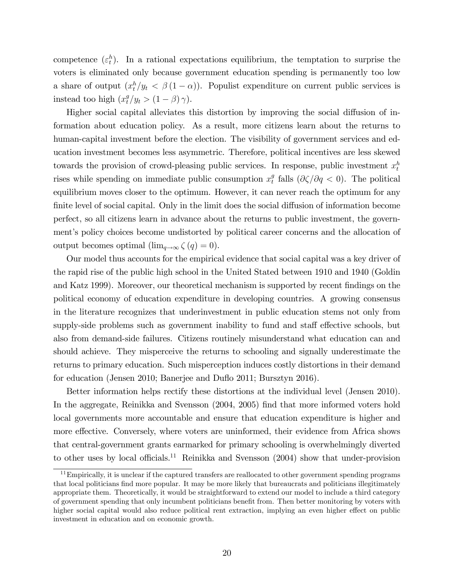competence  $(\varepsilon_t^h)$ . In a rational expectations equilibrium, the temptation to surprise the voters is eliminated only because government education spending is permanently too low a share of output  $(x_t^h/y_t < \beta(1-\alpha))$ . Populist expenditure on current public services is instead too high  $(x_t^g/y_t > (1 - \beta) \gamma)$ .

Higher social capital alleviates this distortion by improving the social diffusion of information about education policy. As a result, more citizens learn about the returns to human-capital investment before the election. The visibility of government services and education investment becomes less asymmetric. Therefore, political incentives are less skewed towards the provision of crowd-pleasing public services. In response, public investment  $x_t^h$ rises while spending on immediate public consumption  $x_t^g$ <sup>g</sup> falls  $(\partial \zeta/\partial q < 0)$ . The political equilibrium moves closer to the optimum. However, it can never reach the optimum for any finite level of social capital. Only in the limit does the social diffusion of information become perfect, so all citizens learn in advance about the returns to public investment, the government's policy choices become undistorted by political career concerns and the allocation of output becomes optimal  $(\lim_{q\to\infty} \zeta(q) = 0).$ 

Our model thus accounts for the empirical evidence that social capital was a key driver of the rapid rise of the public high school in the United Stated between 1910 and 1940 (Goldin and Katz 1999). Moreover, our theoretical mechanism is supported by recent findings on the political economy of education expenditure in developing countries. A growing consensus in the literature recognizes that underinvestment in public education stems not only from supply-side problems such as government inability to fund and staff effective schools, but also from demand-side failures. Citizens routinely misunderstand what education can and should achieve. They misperceive the returns to schooling and signally underestimate the returns to primary education. Such misperception induces costly distortions in their demand for education (Jensen 2010; Banerjee and Duflo 2011; Bursztyn 2016).

Better information helps rectify these distortions at the individual level (Jensen 2010). In the aggregate, Reinikka and Svensson (2004, 2005) find that more informed voters hold local governments more accountable and ensure that education expenditure is higher and more effective. Conversely, where voters are uninformed, their evidence from Africa shows that central-government grants earmarked for primary schooling is overwhelmingly diverted to other uses by local officials.<sup>11</sup> Reinikka and Svensson  $(2004)$  show that under-provision

<sup>&</sup>lt;sup>11</sup>Empirically, it is unclear if the captured transfers are reallocated to other government spending programs that local politicians find more popular. It may be more likely that bureaucrats and politicians illegitimately appropriate them. Theoretically, it would be straightforward to extend our model to include a third category of government spending that only incumbent politicians benefit from. Then better monitoring by voters with higher social capital would also reduce political rent extraction, implying an even higher effect on public investment in education and on economic growth.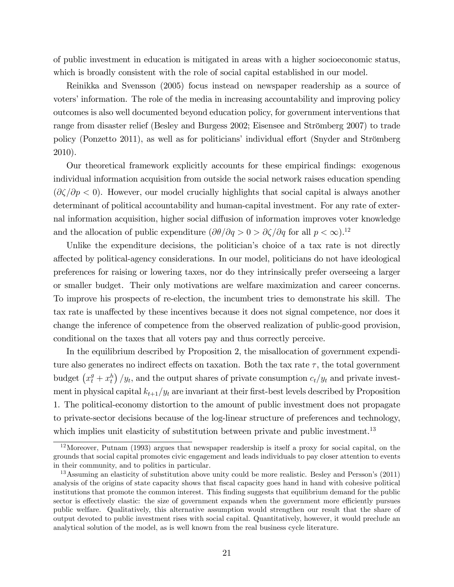of public investment in education is mitigated in areas with a higher socioeconomic status, which is broadly consistent with the role of social capital established in our model.

Reinikka and Svensson (2005) focus instead on newspaper readership as a source of voters' information. The role of the media in increasing accountability and improving policy outcomes is also well documented beyond education policy, for government interventions that range from disaster relief (Besley and Burgess 2002; Eisensee and Strömberg 2007) to trade policy (Ponzetto 2011), as well as for politicians' individual effort (Snyder and Strömberg 2010).

Our theoretical framework explicitly accounts for these empirical Öndings: exogenous individual information acquisition from outside the social network raises education spending  $(\partial \zeta/\partial p < 0)$ . However, our model crucially highlights that social capital is always another determinant of political accountability and human-capital investment. For any rate of external information acquisition, higher social diffusion of information improves voter knowledge and the allocation of public expenditure  $(\partial \theta / \partial q > 0 > \partial \zeta / \partial q$  for all  $p < \infty$ ).<sup>12</sup>

Unlike the expenditure decisions, the politician's choice of a tax rate is not directly a§ected by political-agency considerations. In our model, politicians do not have ideological preferences for raising or lowering taxes, nor do they intrinsically prefer overseeing a larger or smaller budget. Their only motivations are welfare maximization and career concerns. To improve his prospects of re-election, the incumbent tries to demonstrate his skill. The tax rate is unaffected by these incentives because it does not signal competence, nor does it change the inference of competence from the observed realization of public-good provision, conditional on the taxes that all voters pay and thus correctly perceive.

In the equilibrium described by Proposition 2, the misallocation of government expenditure also generates no indirect effects on taxation. Both the tax rate  $\tau$ , the total government budget  $(x_t^g + x_t^h) / y_t$ , and the output shares of private consumption  $c_t/y_t$  and private investment in physical capital  $k_{t+1}/y_t$  are invariant at their first-best levels described by Proposition 1. The political-economy distortion to the amount of public investment does not propagate to private-sector decisions because of the log-linear structure of preferences and technology, which implies unit elasticity of substitution between private and public investment.<sup>13</sup>

<sup>12</sup>Moreover, Putnam (1993) argues that newspaper readership is itself a proxy for social capital, on the grounds that social capital promotes civic engagement and leads individuals to pay closer attention to events in their community, and to politics in particular.

 $13$ Assuming an elasticity of substitution above unity could be more realistic. Besley and Persson's  $(2011)$ analysis of the origins of state capacity shows that fiscal capacity goes hand in hand with cohesive political institutions that promote the common interest. This Önding suggests that equilibrium demand for the public sector is effectively elastic: the size of government expands when the government more efficiently pursues public welfare. Qualitatively, this alternative assumption would strengthen our result that the share of output devoted to public investment rises with social capital. Quantitatively, however, it would preclude an analytical solution of the model, as is well known from the real business cycle literature.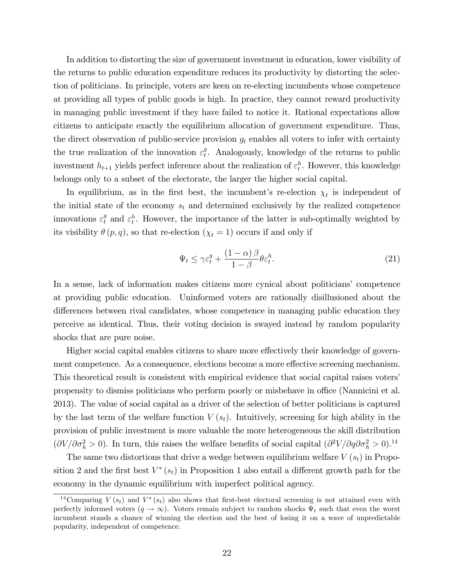In addition to distorting the size of government investment in education, lower visibility of the returns to public education expenditure reduces its productivity by distorting the selection of politicians. In principle, voters are keen on re-electing incumbents whose competence at providing all types of public goods is high. In practice, they cannot reward productivity in managing public investment if they have failed to notice it. Rational expectations allow citizens to anticipate exactly the equilibrium allocation of government expenditure. Thus, the direct observation of public-service provision  $g_t$  enables all voters to infer with certainty the true realization of the innovation  $\varepsilon_t^g$  $t<sub>t</sub><sup>g</sup>$ . Analogously, knowledge of the returns to public investment  $h_{t+1}$  yields perfect inference about the realization of  $\varepsilon_t^h$ . However, this knowledge belongs only to a subset of the electorate, the larger the higher social capital.

In equilibrium, as in the first best, the incumbent's re-election  $\chi_t$  is independent of the initial state of the economy  $s_t$  and determined exclusively by the realized competence innovations  $\varepsilon_t^g$  and  $\varepsilon_t^h$ . However, the importance of the latter is sub-optimally weighted by its visibility  $\theta(p, q)$ , so that re-election  $(\chi_t = 1)$  occurs if and only if

$$
\Psi_t \le \gamma \varepsilon_t^g + \frac{(1-\alpha)\beta}{1-\beta} \theta \varepsilon_t^h. \tag{21}
$$

In a sense, lack of information makes citizens more cynical about politicians' competence at providing public education. Uninformed voters are rationally disillusioned about the differences between rival candidates, whose competence in managing public education they perceive as identical. Thus, their voting decision is swayed instead by random popularity shocks that are pure noise.

Higher social capital enables citizens to share more effectively their knowledge of government competence. As a consequence, elections become a more effective screening mechanism. This theoretical result is consistent with empirical evidence that social capital raises votersí propensity to dismiss politicians who perform poorly or misbehave in office (Nannicini et al. 2013). The value of social capital as a driver of the selection of better politicians is captured by the last term of the welfare function  $V(s_t)$ . Intuitively, screening for high ability in the provision of public investment is more valuable the more heterogeneous the skill distribution  $(\partial V/\partial \sigma_h^2 > 0)$ . In turn, this raises the welfare benefits of social capital  $(\partial^2 V/\partial q \partial \sigma_h^2 > 0)$ .<sup>14</sup>

The same two distortions that drive a wedge between equilibrium welfare  $V(s_t)$  in Proposition 2 and the first best  $V^*(s_t)$  in Proposition 1 also entail a different growth path for the economy in the dynamic equilibrium with imperfect political agency.

<sup>&</sup>lt;sup>14</sup>Comparing  $V(s_t)$  and  $V^*(s_t)$  also shows that first-best electoral screening is not attained even with perfectly informed voters  $(q \to \infty)$ . Voters remain subject to random shocks  $\Psi_t$  such that even the worst incumbent stands a chance of winning the election and the best of losing it on a wave of unpredictable popularity, independent of competence.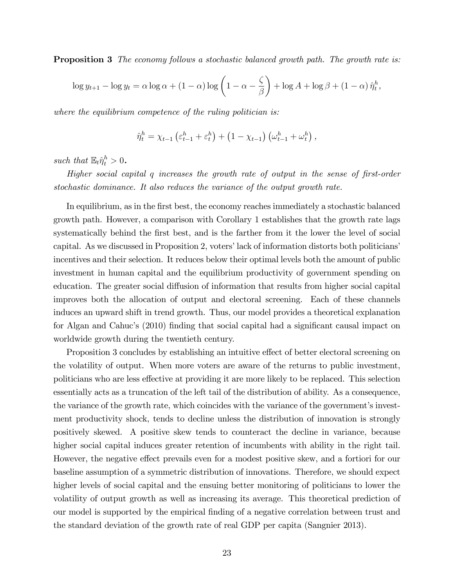**Proposition 3** The economy follows a stochastic balanced growth path. The growth rate is:

$$
\log y_{t+1} - \log y_t = \alpha \log \alpha + (1 - \alpha) \log \left( 1 - \alpha - \frac{\zeta}{\beta} \right) + \log A + \log \beta + (1 - \alpha) \hat{\eta}_t^h,
$$

where the equilibrium competence of the ruling politician is:

$$
\hat{\eta}_t^h = \chi_{t-1} \left( \varepsilon_{t-1}^h + \varepsilon_t^h \right) + \left( 1 - \chi_{t-1} \right) \left( \omega_{t-1}^h + \omega_t^h \right),
$$

such that  $\mathbb{E}_t \hat{\eta}_t^h > 0$ .

Higher social capital  $q$  increases the growth rate of output in the sense of first-order stochastic dominance. It also reduces the variance of the output growth rate.

In equilibrium, as in the first best, the economy reaches immediately a stochastic balanced growth path. However, a comparison with Corollary 1 establishes that the growth rate lags systematically behind the first best, and is the farther from it the lower the level of social capital. As we discussed in Proposition 2, voters' lack of information distorts both politicians' incentives and their selection. It reduces below their optimal levels both the amount of public investment in human capital and the equilibrium productivity of government spending on education. The greater social diffusion of information that results from higher social capital improves both the allocation of output and electoral screening. Each of these channels induces an upward shift in trend growth. Thus, our model provides a theoretical explanation for Algan and Cahuc's (2010) finding that social capital had a significant causal impact on worldwide growth during the twentieth century.

Proposition 3 concludes by establishing an intuitive effect of better electoral screening on the volatility of output. When more voters are aware of the returns to public investment, politicians who are less effective at providing it are more likely to be replaced. This selection essentially acts as a truncation of the left tail of the distribution of ability. As a consequence, the variance of the growth rate, which coincides with the variance of the government's investment productivity shock, tends to decline unless the distribution of innovation is strongly positively skewed. A positive skew tends to counteract the decline in variance, because higher social capital induces greater retention of incumbents with ability in the right tail. However, the negative effect prevails even for a modest positive skew, and a fortiori for our baseline assumption of a symmetric distribution of innovations. Therefore, we should expect higher levels of social capital and the ensuing better monitoring of politicians to lower the volatility of output growth as well as increasing its average. This theoretical prediction of our model is supported by the empirical finding of a negative correlation between trust and the standard deviation of the growth rate of real GDP per capita (Sangnier 2013).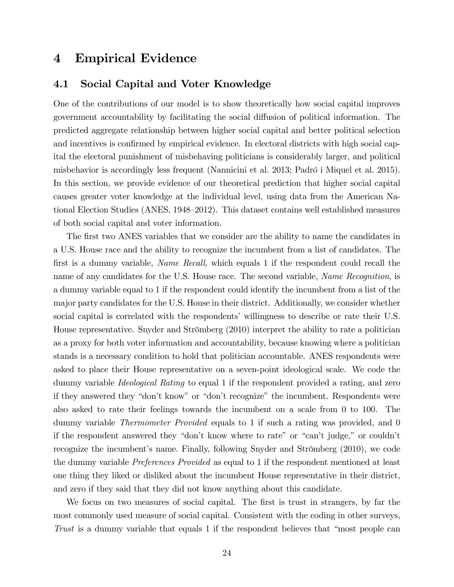# 4 Empirical Evidence

### 4.1 Social Capital and Voter Knowledge

One of the contributions of our model is to show theoretically how social capital improves government accountability by facilitating the social diffusion of political information. The predicted aggregate relationship between higher social capital and better political selection and incentives is confirmed by empirical evidence. In electoral districts with high social capital the electoral punishment of misbehaving politicians is considerably larger, and political misbehavior is accordingly less frequent (Nannicini et al. 2013; Padró i Miquel et al. 2015). In this section, we provide evidence of our theoretical prediction that higher social capital causes greater voter knowledge at the individual level, using data from the American National Election Studies (ANES, 1948–2012). This dataset contains well established measures of both social capital and voter information.

The first two ANES variables that we consider are the ability to name the candidates in a U.S. House race and the ability to recognize the incumbent from a list of candidates. The first is a dummy variable, *Name Recall*, which equals 1 if the respondent could recall the name of any candidates for the U.S. House race. The second variable, Name Recognition, is a dummy variable equal to 1 if the respondent could identify the incumbent from a list of the major party candidates for the U.S. House in their district. Additionally, we consider whether social capital is correlated with the respondents' willingness to describe or rate their U.S. House representative. Snyder and Strömberg (2010) interpret the ability to rate a politician as a proxy for both voter information and accountability, because knowing where a politician stands is a necessary condition to hold that politician accountable. ANES respondents were asked to place their House representative on a seven-point ideological scale. We code the dummy variable *Ideological Rating* to equal 1 if the respondent provided a rating, and zero if they answered they "don't know" or "don't recognize" the incumbent. Respondents were also asked to rate their feelings towards the incumbent on a scale from 0 to 100. The dummy variable *Thermometer Provided* equals to 1 if such a rating was provided, and 0 if the respondent answered they "don't know where to rate" or "can't judge," or couldn't recognize the incumbent's name. Finally, following Snyder and Strömberg (2010), we code the dummy variable Preferences Provided as equal to 1 if the respondent mentioned at least one thing they liked or disliked about the incumbent House representative in their district, and zero if they said that they did not know anything about this candidate.

We focus on two measures of social capital. The first is trust in strangers, by far the most commonly used measure of social capital. Consistent with the coding in other surveys, Trust is a dummy variable that equals 1 if the respondent believes that "most people can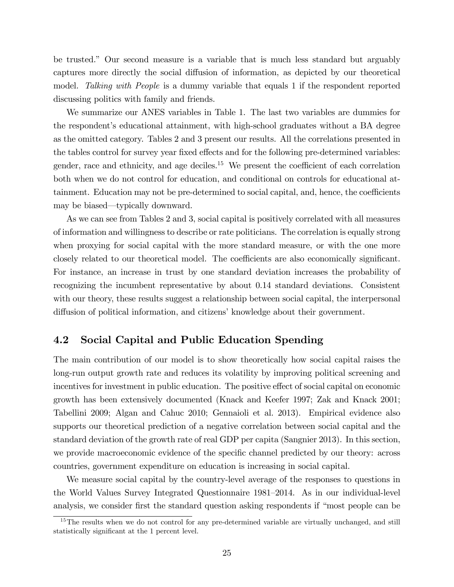be trusted.î Our second measure is a variable that is much less standard but arguably captures more directly the social diffusion of information, as depicted by our theoretical model. Talking with People is a dummy variable that equals 1 if the respondent reported discussing politics with family and friends.

We summarize our ANES variables in Table 1. The last two variables are dummies for the respondent's educational attainment, with high-school graduates without a BA degree as the omitted category. Tables 2 and 3 present our results. All the correlations presented in the tables control for survey year fixed effects and for the following pre-determined variables: gender, race and ethnicity, and age deciles.<sup>15</sup> We present the coefficient of each correlation both when we do not control for education, and conditional on controls for educational attainment. Education may not be pre-determined to social capital, and, hence, the coefficients may be biased—typically downward.

As we can see from Tables 2 and 3, social capital is positively correlated with all measures of information and willingness to describe or rate politicians. The correlation is equally strong when proxying for social capital with the more standard measure, or with the one more closely related to our theoretical model. The coefficients are also economically significant. For instance, an increase in trust by one standard deviation increases the probability of recognizing the incumbent representative by about 0.14 standard deviations. Consistent with our theory, these results suggest a relationship between social capital, the interpersonal diffusion of political information, and citizens' knowledge about their government.

## 4.2 Social Capital and Public Education Spending

The main contribution of our model is to show theoretically how social capital raises the long-run output growth rate and reduces its volatility by improving political screening and incentives for investment in public education. The positive effect of social capital on economic growth has been extensively documented (Knack and Keefer 1997; Zak and Knack 2001; Tabellini 2009; Algan and Cahuc 2010; Gennaioli et al. 2013). Empirical evidence also supports our theoretical prediction of a negative correlation between social capital and the standard deviation of the growth rate of real GDP per capita (Sangnier 2013). In this section, we provide macroeconomic evidence of the specific channel predicted by our theory: across countries, government expenditure on education is increasing in social capital.

We measure social capital by the country-level average of the responses to questions in the World Values Survey Integrated Questionnaire 1981–2014. As in our individual-level analysis, we consider first the standard question asking respondents if "most people can be

<sup>&</sup>lt;sup>15</sup>The results when we do not control for any pre-determined variable are virtually unchanged, and still statistically significant at the 1 percent level.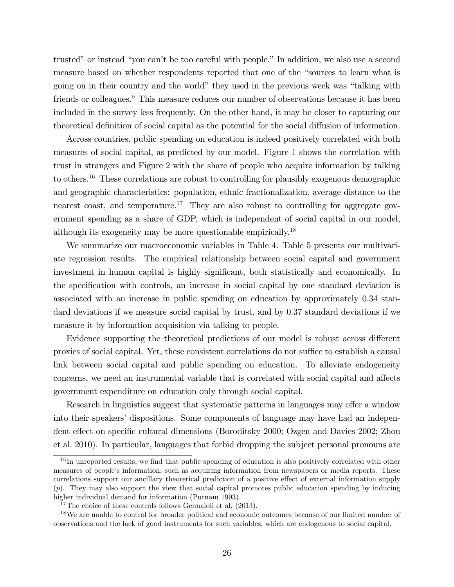trusted" or instead "you can't be too careful with people." In addition, we also use a second measure based on whether respondents reported that one of the "sources to learn what is going on in their country and the world" they used in the previous week was "talking with friends or colleagues." This measure reduces our number of observations because it has been included in the survey less frequently. On the other hand, it may be closer to capturing our theoretical definition of social capital as the potential for the social diffusion of information.

Across countries, public spending on education is indeed positively correlated with both measures of social capital, as predicted by our model. Figure 1 shows the correlation with trust in strangers and Figure 2 with the share of people who acquire information by talking to others.<sup>16</sup> These correlations are robust to controlling for plausibly exogenous demographic and geographic characteristics: population, ethnic fractionalization, average distance to the nearest coast, and temperature.<sup>17</sup> They are also robust to controlling for aggregate government spending as a share of GDP, which is independent of social capital in our model, although its exogeneity may be more questionable empirically.<sup>18</sup>

We summarize our macroeconomic variables in Table 4. Table 5 presents our multivariate regression results. The empirical relationship between social capital and government investment in human capital is highly significant, both statistically and economically. In the specification with controls, an increase in social capital by one standard deviation is associated with an increase in public spending on education by approximately 0.34 standard deviations if we measure social capital by trust, and by 0.37 standard deviations if we measure it by information acquisition via talking to people.

Evidence supporting the theoretical predictions of our model is robust across different proxies of social capital. Yet, these consistent correlations do not suffice to establish a causal link between social capital and public spending on education. To alleviate endogeneity concerns, we need an instrumental variable that is correlated with social capital and affects government expenditure on education only through social capital.

Research in linguistics suggest that systematic patterns in languages may offer a window into their speakers' dispositions. Some components of language may have had an independent effect on specific cultural dimensions (Boroditsky 2000; Ozgen and Davies 2002; Zhou et al. 2010). In particular, languages that forbid dropping the subject personal pronouns are

 $16$  In unreported results, we find that public spending of education is also positively correlated with other measures of people's information, such as acquiring information from newspapers or media reports. These correlations support our ancillary theoretical prediction of a positive effect of external information supply (p). They may also support the view that social capital promotes public education spending by inducing higher individual demand for information (Putnam 1993).

<sup>&</sup>lt;sup>17</sup>The choice of these controls follows Gennaioli et al.  $(2013)$ .

<sup>&</sup>lt;sup>18</sup>We are unable to control for broader political and economic outcomes because of our limited number of observations and the lack of good instruments for such variables, which are endogenous to social capital.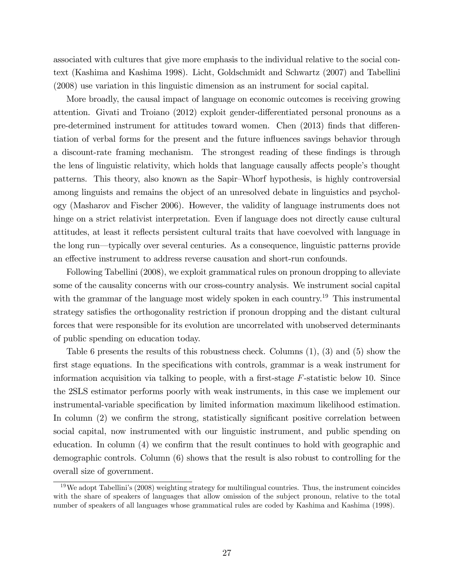associated with cultures that give more emphasis to the individual relative to the social context (Kashima and Kashima 1998). Licht, Goldschmidt and Schwartz (2007) and Tabellini (2008) use variation in this linguistic dimension as an instrument for social capital.

More broadly, the causal impact of language on economic outcomes is receiving growing attention. Givati and Troiano (2012) exploit gender-differentiated personal pronouns as a pre-determined instrument for attitudes toward women. Chen (2013) finds that differentiation of verbal forms for the present and the future influences savings behavior through a discount-rate framing mechanism. The strongest reading of these findings is through the lens of linguistic relativity, which holds that language causally affects people's thought patterns. This theory, also known as the Sapir–Whorf hypothesis, is highly controversial among linguists and remains the object of an unresolved debate in linguistics and psychology (Masharov and Fischer 2006). However, the validity of language instruments does not hinge on a strict relativist interpretation. Even if language does not directly cause cultural attitudes, at least it reflects persistent cultural traits that have coevolved with language in the long run—typically over several centuries. As a consequence, linguistic patterns provide an effective instrument to address reverse causation and short-run confounds.

Following Tabellini (2008), we exploit grammatical rules on pronoun dropping to alleviate some of the causality concerns with our cross-country analysis. We instrument social capital with the grammar of the language most widely spoken in each country.<sup>19</sup> This instrumental strategy satisfies the orthogonality restriction if pronoun dropping and the distant cultural forces that were responsible for its evolution are uncorrelated with unobserved determinants of public spending on education today.

Table 6 presents the results of this robustness check. Columns (1), (3) and (5) show the first stage equations. In the specifications with controls, grammar is a weak instrument for information acquisition via talking to people, with a first-stage  $F$ -statistic below 10. Since the 2SLS estimator performs poorly with weak instruments, in this case we implement our instrumental-variable specification by limited information maximum likelihood estimation. In column  $(2)$  we confirm the strong, statistically significant positive correlation between social capital, now instrumented with our linguistic instrument, and public spending on education. In column  $(4)$  we confirm that the result continues to hold with geographic and demographic controls. Column (6) shows that the result is also robust to controlling for the overall size of government.

 $19$ We adopt Tabellini's (2008) weighting strategy for multilingual countries. Thus, the instrument coincides with the share of speakers of languages that allow omission of the subject pronoun, relative to the total number of speakers of all languages whose grammatical rules are coded by Kashima and Kashima (1998).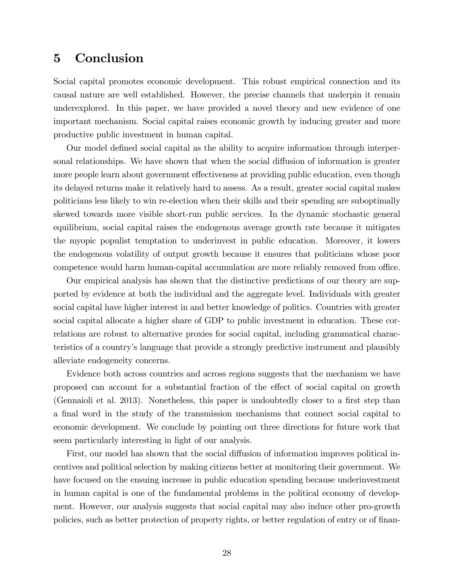# 5 Conclusion

Social capital promotes economic development. This robust empirical connection and its causal nature are well established. However, the precise channels that underpin it remain underexplored. In this paper, we have provided a novel theory and new evidence of one important mechanism. Social capital raises economic growth by inducing greater and more productive public investment in human capital.

Our model defined social capital as the ability to acquire information through interpersonal relationships. We have shown that when the social diffusion of information is greater more people learn about government effectiveness at providing public education, even though its delayed returns make it relatively hard to assess. As a result, greater social capital makes politicians less likely to win re-election when their skills and their spending are suboptimally skewed towards more visible short-run public services. In the dynamic stochastic general equilibrium, social capital raises the endogenous average growth rate because it mitigates the myopic populist temptation to underinvest in public education. Moreover, it lowers the endogenous volatility of output growth because it ensures that politicians whose poor competence would harm human-capital accumulation are more reliably removed from office.

Our empirical analysis has shown that the distinctive predictions of our theory are supported by evidence at both the individual and the aggregate level. Individuals with greater social capital have higher interest in and better knowledge of politics. Countries with greater social capital allocate a higher share of GDP to public investment in education. These correlations are robust to alternative proxies for social capital, including grammatical characteristics of a countryís language that provide a strongly predictive instrument and plausibly alleviate endogeneity concerns.

Evidence both across countries and across regions suggests that the mechanism we have proposed can account for a substantial fraction of the effect of social capital on growth (Gennaioli et al. 2013). Nonetheless, this paper is undoubtedly closer to a first step than a final word in the study of the transmission mechanisms that connect social capital to economic development. We conclude by pointing out three directions for future work that seem particularly interesting in light of our analysis.

First, our model has shown that the social diffusion of information improves political incentives and political selection by making citizens better at monitoring their government. We have focused on the ensuing increase in public education spending because underinvestment in human capital is one of the fundamental problems in the political economy of development. However, our analysis suggests that social capital may also induce other pro-growth policies, such as better protection of property rights, or better regulation of entry or of finan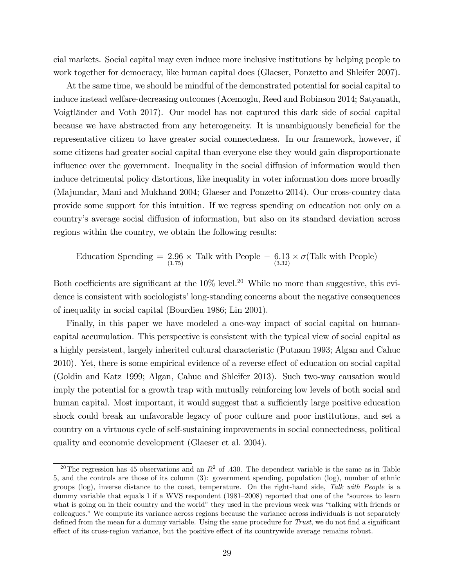cial markets. Social capital may even induce more inclusive institutions by helping people to work together for democracy, like human capital does (Glaeser, Ponzetto and Shleifer 2007).

At the same time, we should be mindful of the demonstrated potential for social capital to induce instead welfare-decreasing outcomes (Acemoglu, Reed and Robinson 2014; Satyanath, Voigtl‰nder and Voth 2017). Our model has not captured this dark side of social capital because we have abstracted from any heterogeneity. It is unambiguously beneficial for the representative citizen to have greater social connectedness. In our framework, however, if some citizens had greater social capital than everyone else they would gain disproportionate influence over the government. Inequality in the social diffusion of information would then induce detrimental policy distortions, like inequality in voter information does more broadly (Majumdar, Mani and Mukhand 2004; Glaeser and Ponzetto 2014). Our cross-country data provide some support for this intuition. If we regress spending on education not only on a country's average social diffusion of information, but also on its standard deviation across regions within the country, we obtain the following results:

Education Spending = 
$$
2.96 \times
$$
 Talk with People –  $6.13 \times \sigma$ (Talk with People) (3.32)

Both coefficients are significant at the  $10\%$  level.<sup>20</sup> While no more than suggestive, this evidence is consistent with sociologists' long-standing concerns about the negative consequences of inequality in social capital (Bourdieu 1986; Lin 2001).

Finally, in this paper we have modeled a one-way impact of social capital on humancapital accumulation. This perspective is consistent with the typical view of social capital as a highly persistent, largely inherited cultural characteristic (Putnam 1993; Algan and Cahuc 2010). Yet, there is some empirical evidence of a reverse effect of education on social capital (Goldin and Katz 1999; Algan, Cahuc and Shleifer 2013). Such two-way causation would imply the potential for a growth trap with mutually reinforcing low levels of both social and human capital. Most important, it would suggest that a sufficiently large positive education shock could break an unfavorable legacy of poor culture and poor institutions, and set a country on a virtuous cycle of self-sustaining improvements in social connectedness, political quality and economic development (Glaeser et al. 2004).

<sup>&</sup>lt;sup>20</sup>The regression has 45 observations and an  $R^2$  of .430. The dependent variable is the same as in Table 5, and the controls are those of its column (3): government spending, population (log), number of ethnic groups (log), inverse distance to the coast, temperature. On the right-hand side, Talk with People is a dummy variable that equals  $1$  if a WVS respondent  $(1981-2008)$  reported that one of the "sources to learn what is going on in their country and the world" they used in the previous week was "talking with friends or colleagues." We compute its variance across regions because the variance across individuals is not separately defined from the mean for a dummy variable. Using the same procedure for Trust, we do not find a significant effect of its cross-region variance, but the positive effect of its countrywide average remains robust.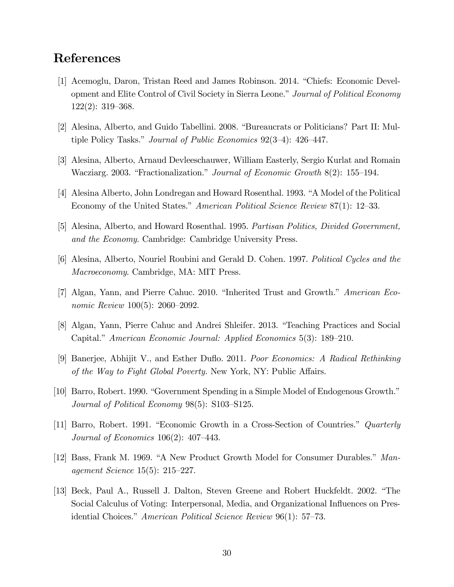# References

- [1] Acemoglu, Daron, Tristan Reed and James Robinson. 2014. "Chiefs: Economic Development and Elite Control of Civil Society in Sierra Leone." Journal of Political Economy  $122(2): 319-368.$
- [2] Alesina, Alberto, and Guido Tabellini. 2008. "Bureaucrats or Politicians? Part II: Multiple Policy Tasks." Journal of Public Economics  $92(3-4)$ : 426–447.
- [3] Alesina, Alberto, Arnaud Devleeschauwer, William Easterly, Sergio Kurlat and Romain Wacziarg. 2003. "Fractionalization." Journal of Economic Growth  $8(2)$ : 155–194.
- [4] Alesina Alberto, John Londregan and Howard Rosenthal. 1993. "A Model of the Political Economy of the United States." American Political Science Review 87(1): 12–33.
- [5] Alesina, Alberto, and Howard Rosenthal. 1995. Partisan Politics, Divided Government, and the Economy. Cambridge: Cambridge University Press.
- [6] Alesina, Alberto, Nouriel Roubini and Gerald D. Cohen. 1997. Political Cycles and the Macroeconomy. Cambridge, MA: MIT Press.
- [7] Algan, Yann, and Pierre Cahuc. 2010. "Inherited Trust and Growth." American Economic Review  $100(5)$ : 2060–2092.
- [8] Algan, Yann, Pierre Cahuc and Andrei Shleifer. 2013. "Teaching Practices and Social Capital." American Economic Journal: Applied Economics 5(3): 189–210.
- [9] Banerjee, Abhijit V., and Esther Duflo. 2011. Poor Economics: A Radical Rethinking of the Way to Fight Global Poverty. New York, NY: Public Affairs.
- [10] Barro, Robert. 1990. "Government Spending in a Simple Model of Endogenous Growth." Journal of Political Economy  $98(5)$ : S103-S125.
- [11] Barro, Robert. 1991. "Economic Growth in a Cross-Section of Countries." Quarterly Journal of Economics  $106(2)$ :  $407-443$ .
- [12] Bass, Frank M. 1969. "A New Product Growth Model for Consumer Durables."  $Man$ agement Science  $15(5)$ :  $215-227$ .
- [13] Beck, Paul A., Russell J. Dalton, Steven Greene and Robert Huckfeldt. 2002. "The Social Calculus of Voting: Interpersonal, Media, and Organizational Ináuences on Presidential Choices." American Political Science Review  $96(1)$ : 57–73.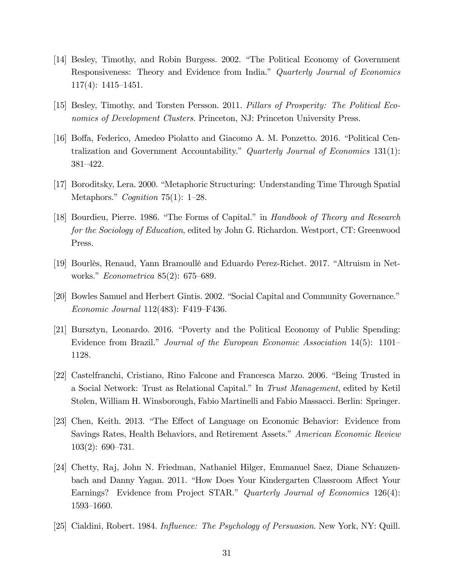- [14] Besley, Timothy, and Robin Burgess. 2002. "The Political Economy of Government Responsiveness: Theory and Evidence from India." Quarterly Journal of Economics  $117(4): 1415–1451.$
- [15] Besley, Timothy, and Torsten Persson. 2011. Pillars of Prosperity: The Political Economics of Development Clusters. Princeton, NJ: Princeton University Press.
- [16] Boffa, Federico, Amedeo Piolatto and Giacomo A. M. Ponzetto. 2016. "Political Centralization and Government Accountability." Quarterly Journal of Economics  $131(1)$ : 381-422.
- [17] Boroditsky, Lera. 2000. "Metaphoric Structuring: Understanding Time Through Spatial Metaphors." Cognition 75(1): 1–28.
- [18] Bourdieu, Pierre. 1986. "The Forms of Capital." in Handbook of Theory and Research for the Sociology of Education, edited by John G. Richardon. Westport, CT: Greenwood Press.
- [19] Bourlès, Renaud, Yann Bramoullé and Eduardo Perez-Richet. 2017. "Altruism in Networks." *Econometrica* 85(2): 675–689.
- [20] Bowles Samuel and Herbert Gintis. 2002. "Social Capital and Community Governance." Economic Journal  $112(483)$ : F419–F436.
- [21] Bursztyn, Leonardo. 2016. "Poverty and the Political Economy of Public Spending: Evidence from Brazil." Journal of the European Economic Association  $14(5)$ : 1101– 1128.
- [22] Castelfranchi, Cristiano, Rino Falcone and Francesca Marzo. 2006. "Being Trusted in a Social Network: Trust as Relational Capital." In Trust Management, edited by Ketil Stølen, William H. Winsborough, Fabio Martinelli and Fabio Massacci. Berlin: Springer.
- [23] Chen, Keith. 2013. "The Effect of Language on Economic Behavior: Evidence from Savings Rates, Health Behaviors, and Retirement Assets." American Economic Review  $103(2): 690 - 731.$
- [24] Chetty, Raj, John N. Friedman, Nathaniel Hilger, Emmanuel Saez, Diane Schanzenbach and Danny Yagan. 2011. "How Does Your Kindergarten Classroom Affect Your Earnings? Evidence from Project STAR." Quarterly Journal of Economics 126(4): 1593-1660.
- [25] Cialdini, Robert. 1984. *Influence: The Psychology of Persuasion*. New York, NY: Quill.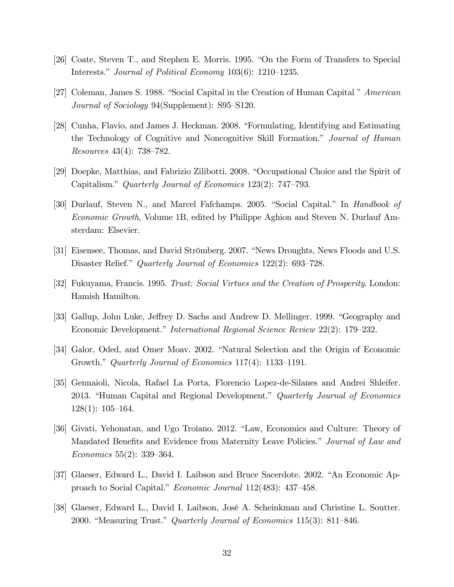- [26] Coate, Steven T., and Stephen E. Morris. 1995. "On the Form of Transfers to Special Interests." Journal of Political Economy  $103(6)$ : 1210–1235.
- [27] Coleman, James S. 1988. "Social Capital in the Creation of Human Capital " American Journal of Sociology  $94(Supplement): S95-S120.$
- [28] Cunha, Flavio, and James J. Heckman. 2008. "Formulating, Identifying and Estimating the Technology of Cognitive and Noncognitive Skill Formation.<sup>n</sup> Journal of Human Resources  $43(4)$ : 738–782.
- [29] Doepke, Matthias, and Fabrizio Zilibotti. 2008. "Occupational Choice and the Spirit of Capitalism." Quarterly Journal of Economics 123(2): 747–793.
- [30] Durlauf, Steven N., and Marcel Fafchamps. 2005. "Social Capital." In *Handbook of* Economic Growth, Volume 1B, edited by Philippe Aghion and Steven N. Durlauf Amsterdam: Elsevier.
- [31] Eisensee, Thomas, and David Strömberg. 2007. "News Droughts, News Floods and U.S. Disaster Relief." Quarterly Journal of Economics 122(2): 693–728.
- [32] Fukuyama, Francis. 1995. Trust: Social Virtues and the Creation of Prosperity. London: Hamish Hamilton.
- [33] Gallup, John Luke, Jeffrey D. Sachs and Andrew D. Mellinger. 1999. "Geography and Economic Development." International Regional Science Review 22(2): 179–232.
- [34] Galor, Oded, and Omer Moav. 2002. "Natural Selection and the Origin of Economic Growth." Quarterly Journal of Economics 117(4): 1133-1191.
- [35] Gennaioli, Nicola, Rafael La Porta, Florencio Lopez-de-Silanes and Andrei Shleifer. 2013. "Human Capital and Regional Development." Quarterly Journal of Economics  $128(1): 105–164.$
- [36] Givati, Yehonatan, and Ugo Troiano. 2012. "Law, Economics and Culture: Theory of Mandated Benefits and Evidence from Maternity Leave Policies." Journal of Law and Economics 55(2):  $339-364$ .
- [37] Glaeser, Edward L., David I. Laibson and Bruce Sacerdote. 2002. "An Economic Approach to Social Capital." *Economic Journal* 112(483): 437–458.
- [38] Glaeser, Edward L., David I. Laibson, JosÈ A. Scheinkman and Christine L. Soutter. 2000. "Measuring Trust." Quarterly Journal of Economics 115(3): 811-846.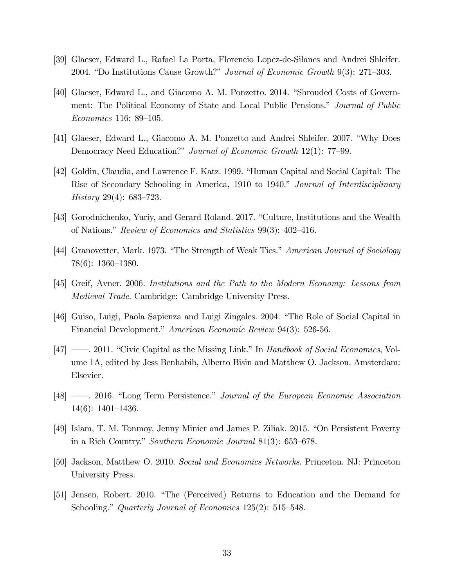- [39] Glaeser, Edward L., Rafael La Porta, Florencio Lopez-de-Silanes and Andrei Shleifer. 2004. "Do Institutions Cause Growth?" *Journal of Economic Growth* 9(3): 271–303.
- [40] Glaeser, Edward L., and Giacomo A. M. Ponzetto. 2014. "Shrouded Costs of Government: The Political Economy of State and Local Public Pensions.<sup>n</sup> Journal of Public  $Economics 116: 89-105.$
- [41] Glaeser, Edward L., Giacomo A. M. Ponzetto and Andrei Shleifer. 2007. "Why Does Democracy Need Education?" Journal of Economic Growth 12(1): 77–99.
- [42] Goldin, Claudia, and Lawrence F. Katz. 1999. "Human Capital and Social Capital: The Rise of Secondary Schooling in America, 1910 to 1940." Journal of Interdisciplinary History 29(4):  $683-723$ .
- [43] Gorodnichenko, Yuriy, and Gerard Roland. 2017. "Culture, Institutions and the Wealth of Nations." Review of Economics and Statistics  $99(3)$ : 402–416.
- [44] Granovetter, Mark. 1973. "The Strength of Weak Ties." American Journal of Sociology  $78(6): 1360-1380.$
- [45] Greif, Avner. 2006. Institutions and the Path to the Modern Economy: Lessons from Medieval Trade. Cambridge: Cambridge University Press.
- [46] Guiso, Luigi, Paola Sapienza and Luigi Zingales. 2004. "The Role of Social Capital in Financial Development." American Economic Review 94(3): 526-56.
- $[47]$  2011. "Civic Capital as the Missing Link." In Handbook of Social Economics, Volume 1A, edited by Jess Benhabib, Alberto Bisin and Matthew O. Jackson. Amsterdam: Elsevier.
- [48]  $\rightarrow$  2016. "Long Term Persistence." Journal of the European Economic Association  $14(6)$ :  $1401-1436$ .
- [49] Islam, T. M. Tonmoy, Jenny Minier and James P. Ziliak. 2015. "On Persistent Poverty in a Rich Country." Southern Economic Journal 81(3):  $653-678$ .
- [50] Jackson, Matthew O. 2010. Social and Economics Networks. Princeton, NJ: Princeton University Press.
- [51] Jensen, Robert. 2010. "The (Perceived) Returns to Education and the Demand for Schooling." Quarterly Journal of Economics 125(2): 515–548.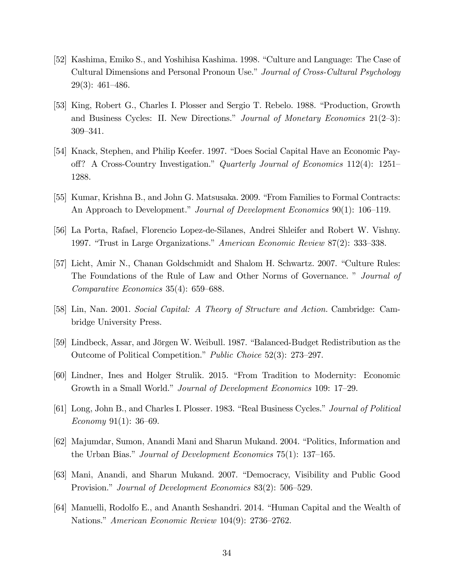- [52] Kashima, Emiko S., and Yoshihisa Kashima. 1998. "Culture and Language: The Case of Cultural Dimensions and Personal Pronoun Use." Journal of Cross-Cultural Psychology  $29(3): 461-486.$
- [53] King, Robert G., Charles I. Plosser and Sergio T. Rebelo. 1988. "Production, Growth and Business Cycles: II. New Directions." Journal of Monetary Economics  $21(2-3)$ : 309–341.
- [54] Knack, Stephen, and Philip Keefer. 1997. "Does Social Capital Have an Economic Payoff? A Cross-Country Investigation." Quarterly Journal of Economics 112(4): 1251– 1288.
- [55] Kumar, Krishna B., and John G. Matsusaka. 2009. "From Families to Formal Contracts: An Approach to Development." Journal of Development Economics  $90(1)$ : 106–119.
- [56] La Porta, Rafael, Florencio Lopez-de-Silanes, Andrei Shleifer and Robert W. Vishny. 1997. "Trust in Large Organizations." American Economic Review  $87(2)$ : 333–338.
- [57] Licht, Amir N., Chanan Goldschmidt and Shalom H. Schwartz. 2007. "Culture Rules: The Foundations of the Rule of Law and Other Norms of Governance. " Journal of Comparative Economics 35(4):  $659-688$ .
- [58] Lin, Nan. 2001. Social Capital: A Theory of Structure and Action. Cambridge: Cambridge University Press.
- [59] Lindbeck, Assar, and Jörgen W. Weibull. 1987. "Balanced-Budget Redistribution as the Outcome of Political Competition." Public Choice 52(3): 273–297.
- [60] Lindner, Ines and Holger Strulik. 2015. "From Tradition to Modernity: Economic Growth in a Small World." *Journal of Development Economics* 109: 17–29.
- [61] Long, John B., and Charles I. Plosser. 1983. "Real Business Cycles." Journal of Political Economy 91(1):  $36-69$ .
- [62] Majumdar, Sumon, Anandi Mani and Sharun Mukand. 2004. "Politics, Information and the Urban Bias." Journal of Development Economics 75(1):  $137-165$ .
- [63] Mani, Anandi, and Sharun Mukand. 2007. "Democracy, Visibility and Public Good Provision." Journal of Development Economics 83(2): 506–529.
- [64] Manuelli, Rodolfo E., and Ananth Seshandri. 2014. "Human Capital and the Wealth of Nations." American Economic Review 104(9): 2736–2762.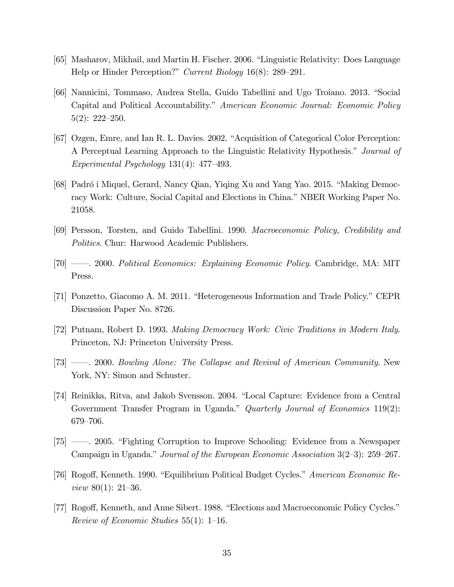- [65] Masharov, Mikhail, and Martin H. Fischer. 2006. "Linguistic Relativity: Does Language Help or Hinder Perception?" Current Biology  $16(8)$ : 289–291.
- [66] Nannicini, Tommaso, Andrea Stella, Guido Tabellini and Ugo Troiano. 2013. "Social Capital and Political Accountability." American Economic Journal: Economic Policy  $5(2): 222 - 250.$
- [67] Ozgen, Emre, and Ian R. L. Davies. 2002. "Acquisition of Categorical Color Perception: A Perceptual Learning Approach to the Linguistic Relativity Hypothesis.<sup>n</sup> Journal of Experimental Psychology  $131(4)$ : 477–493.
- [68] Padró i Miquel, Gerard, Nancy Qian, Yiqing Xu and Yang Yao. 2015. "Making Democracy Work: Culture, Social Capital and Elections in China." NBER Working Paper No. 21058.
- [69] Persson, Torsten, and Guido Tabellini. 1990. Macroeconomic Policy, Credibility and Politics. Chur: Harwood Academic Publishers.
- [70] 2000. Political Economics: Explaining Economic Policy. Cambridge, MA: MIT Press.
- [71] Ponzetto, Giacomo A. M. 2011. "Heterogeneous Information and Trade Policy." CEPR Discussion Paper No. 8726.
- [72] Putnam, Robert D. 1993. Making Democracy Work: Civic Traditions in Modern Italy. Princeton, NJ: Princeton University Press.
- [73]  $\rightarrow$  2000. Bowling Alone: The Collapse and Revival of American Community. New York, NY: Simon and Schuster.
- [74] Reinikka, Ritva, and Jakob Svensson. 2004. "Local Capture: Evidence from a Central Government Transfer Program in Uganda." Quarterly Journal of Economics 119(2): 679-706.
- [75] <sup>*n*</sup> 2005. "Fighting Corruption to Improve Schooling: Evidence from a Newspaper Campaign in Uganda." Journal of the European Economic Association  $3(2-3)$ : 259–267.
- [76] Rogoff, Kenneth. 1990. "Equilibrium Political Budget Cycles." American Economic Review 80(1):  $21-36$ .
- [77] Rogoff, Kenneth, and Anne Sibert. 1988. "Elections and Macroeconomic Policy Cycles." Review of Economic Studies  $55(1)$ : 1–16.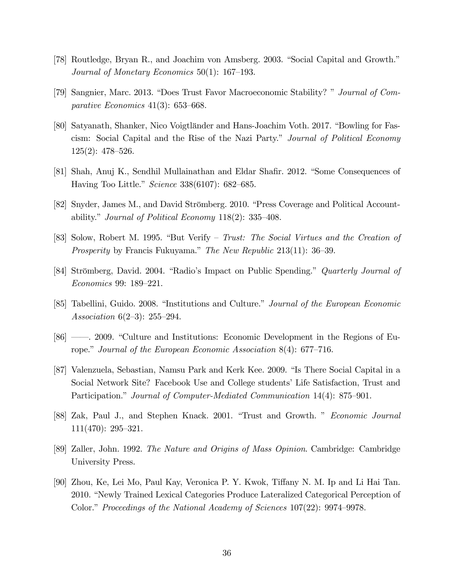- [78] Routledge, Bryan R., and Joachim von Amsberg. 2003. "Social Capital and Growth." Journal of Monetary Economics  $50(1)$ : 167–193.
- [79] Sangnier, Marc. 2013. "Does Trust Favor Macroeconomic Stability? " Journal of Comparative Economics  $41(3)$ : 653–668.
- [80] Satyanath, Shanker, Nico Voigtländer and Hans-Joachim Voth. 2017. "Bowling for Fascism: Social Capital and the Rise of the Nazi Party." Journal of Political Economy  $125(2): 478–526.$
- [81] Shah, Anuj K., Sendhil Mullainathan and Eldar Shafir. 2012. "Some Consequences of Having Too Little." *Science* 338(6107): 682–685.
- [82] Snyder, James M., and David Strömberg. 2010. "Press Coverage and Political Accountability." Journal of Political Economy 118(2):  $335-408$ .
- [83] Solow, Robert M. 1995. "But Verify Trust: The Social Virtues and the Creation of *Prosperity* by Francis Fukuyama." The New Republic  $213(11)$ :  $36-39$ .
- [84] Strömberg, David. 2004. "Radio's Impact on Public Spending." *Quarterly Journal of* Economics 99: 189–221.
- [85] Tabellini, Guido. 2008. "Institutions and Culture." Journal of the European Economic Association  $6(2-3)$ : 255-294.
- [86] <sup>*n*</sup> 2009. "Culture and Institutions: Economic Development in the Regions of Europe." Journal of the European Economic Association 8(4):  $677-716$ .
- [87] Valenzuela, Sebastian, Namsu Park and Kerk Kee. 2009. "Is There Social Capital in a Social Network Site? Facebook Use and College students' Life Satisfaction, Trust and Participation." Journal of Computer-Mediated Communication  $14(4)$ : 875–901.
- [88] Zak, Paul J., and Stephen Knack. 2001. "Trust and Growth. " Economic Journal  $111(470): 295 - 321.$
- [89] Zaller, John. 1992. The Nature and Origins of Mass Opinion. Cambridge: Cambridge University Press.
- [90] Zhou, Ke, Lei Mo, Paul Kay, Veronica P. Y. Kwok, Tiffany N. M. Ip and Li Hai Tan. 2010. "Newly Trained Lexical Categories Produce Lateralized Categorical Perception of Color." Proceedings of the National Academy of Sciences  $107(22)$ : 9974–9978.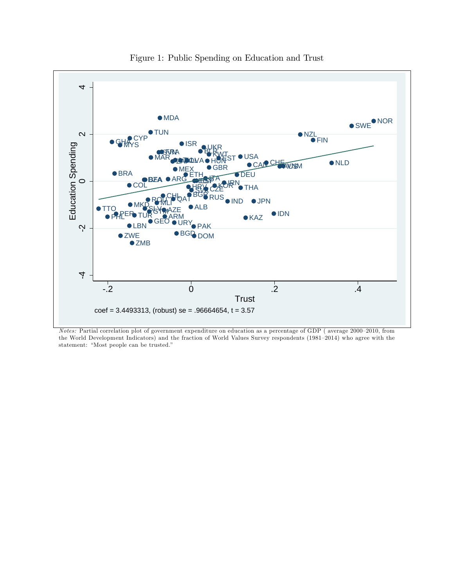

Figure 1: Public Spending on Education and Trust

Notes: Partial correlation plot of government expenditure on education as a percentage of GDP (average 2000–2010, from the World Development Indicators) and the fraction of World Values Survey respondents (1981–2014) who agree with the statement: "Most people can be trusted."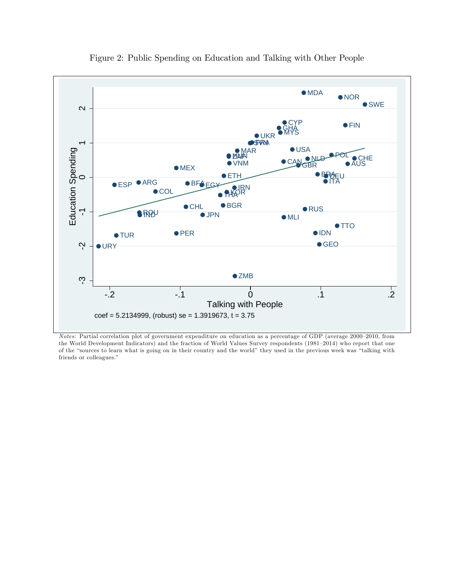

Figure 2: Public Spending on Education and Talking with Other People

 $Notes: Partial correlation plot of government expenditure on education as a percentage of GDP (average  $2000-2010$ , from$ the World Development Indicators) and the fraction of World Values Survey respondents (1981-2014) who report that one of the "sources to learn what is going on in their country and the world" they used in the previous week was "talking with friends or colleagues."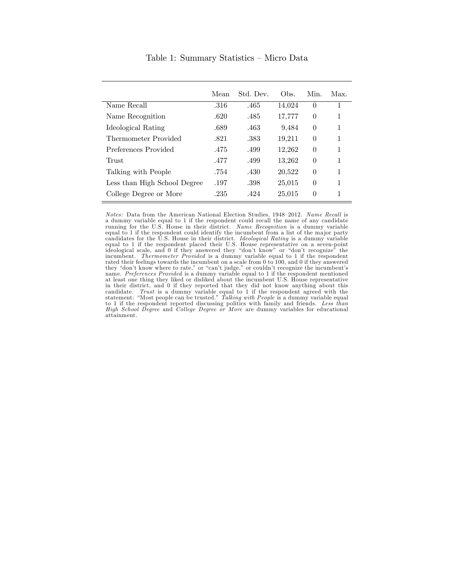|                              | Mean | Std. Dev. | Obs.   | Min.     | Max. |
|------------------------------|------|-----------|--------|----------|------|
| Name Recall                  | .316 | .465      | 14,024 | $\Omega$ |      |
| Name Recognition             | .620 | .485      | 17,777 | $\theta$ | 1    |
| Ideological Rating           | .689 | .463      | 9.484  | $\theta$ | 1    |
| Thermometer Provided         | .821 | .383      | 19,211 | $\theta$ | 1    |
| Preferences Provided         | .475 | .499      | 12,262 | $\theta$ | 1    |
| Trust                        | .477 | .499      | 13,262 | $\theta$ | 1    |
| Talking with People          | .754 | .430      | 20,522 | $\theta$ | 1    |
| Less than High School Degree | .197 | .398      | 25,015 | $\theta$ | 1    |
| College Degree or More       | .235 | .424      | 25,015 | $\Omega$ |      |

Table 1: Summary Statistics – Micro Data

Notes: Data from the American National Election Studies, 1948–2012. Name Recall is a dummy variable equal to 1 if the respondent could recall the name of any candidate running for the U.S. House in their district. Name Recognition is a dummy variable equal to 1 if the respondent could identify the incumbent from a list of the ma jor party candidates for the U.S. House in their district. Ideological Rating is a dummy variable equal to 1 if the respondent placed their U.S. House representative on a seven-point ideological scale, and 0 if they answered they "don't know" or "don't recognize" the ideological scale, and  $\overline{0}$  if they answered they "don't know" or "don't recognize" incumbent. Thermometer Provided is a dummy variable equal to 1 if the respondent rated their feelings towards the incumbent on a scale from 0 to 100, and 0 if they answered they "don't know where to rate," or "can't judge," or couldn't recognize the incumbent's name. Preferences Provided is a dummy variable equal to 1 if the respondent mentioned at least one thing they liked or disliked about the incumbent U.S. House representative<br>in their district, and 0 if they reported that they did not know anything about this<br>candidate. Trust is a dummy variable equal to 1 to 1 if the respondent reported discussing politics with family and friends. Less than High School Degree and College Degree or More are dummy variables for educational attainment.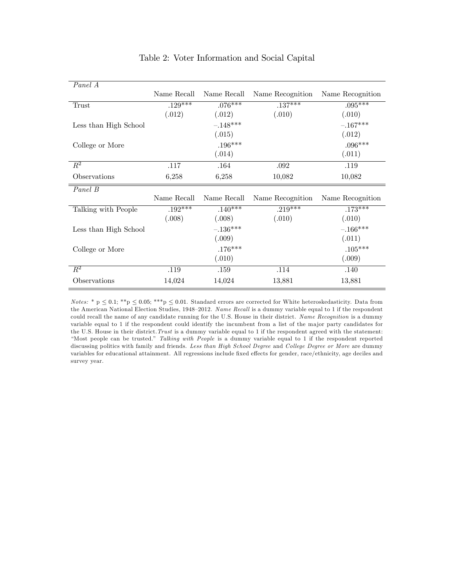| Panel A               |             |             |                  |                  |
|-----------------------|-------------|-------------|------------------|------------------|
|                       | Name Recall | Name Recall | Name Recognition | Name Recognition |
| Trust                 | $.129***$   | $.076***$   | $.137***$        | $.095***$        |
|                       | (.012)      | (.012)      | (.010)           | (.010)           |
| Less than High School |             | $-.148***$  |                  | $-.167***$       |
|                       |             | (.015)      |                  | (.012)           |
| College or More       |             | .196***     |                  | $.096***$        |
|                       |             | (.014)      |                  | (.011)           |
| $\overline{R^2}$      | .117        | .164        | .092             | .119             |
| Observations          | 6,258       | 6,258       | 10,082           | 10,082           |
|                       |             |             |                  |                  |
| Panel B               |             |             |                  |                  |
|                       | Name Recall | Name Recall | Name Recognition | Name Recognition |
| Talking with People   | $.192***$   | $.140***$   | $.219***$        | $.173***$        |
|                       | (.008)      | (.008)      | (.010)           | (.010)           |
| Less than High School |             | $-.136***$  |                  | $-.166***$       |
|                       |             | (.009)      |                  | (.011)           |
| College or More       |             | $.176***$   |                  | $.105***$        |
|                       |             | (.010)      |                  | (.009)           |
| $\overline{R^2}$      | .119        | .159        | .114             | .140             |

#### Table 2: Voter Information and Social Capital

Notes: \* p  $\leq 0.1$ ; \*\*p  $\leq 0.05$ ; \*\*\*p  $\leq 0.01$ . Standard errors are corrected for White heteroskedasticity. Data from the American National Election Studies, 1948-2012. Name Recall is a dummy variable equal to 1 if the respondent could recall the name of any candidate running for the U.S. House in their district. Name Recognition is a dummy variable equal to 1 if the respondent could identify the incumbent from a list of the major party candidates for the U.S. House in their district.Trust is a dummy variable equal to 1 if the respondent agreed with the statement: "Most people can be trusted." Talking with People is a dummy variable equal to 1 if the respondent reported discussing politics with family and friends. Less than High School Degree and College Degree or More are dummy variables for educational attainment. All regressions include fixed effects for gender, race/ethnicity, age deciles and survey year.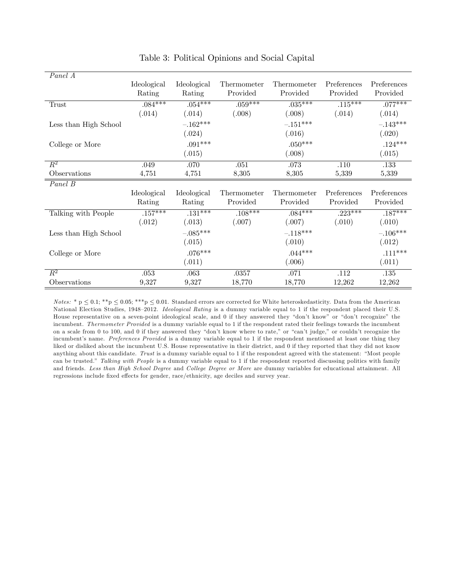| Panel A               |             |             |             |             |             |             |
|-----------------------|-------------|-------------|-------------|-------------|-------------|-------------|
|                       | Ideological | Ideological | Thermometer | Thermometer | Preferences | Preferences |
|                       | Rating      | Rating      | Provided    | Provided    | Provided    | Provided    |
| Trust                 | $.084***$   | $.054***$   | $.059***$   | $.035***$   | $.115***$   | $.077***$   |
|                       | (.014)      | (.014)      | (.008)      | (.008)      | (.014)      | (.014)      |
| Less than High School |             | $-.162***$  |             | $-.151***$  |             | $-.143***$  |
|                       |             | (.024)      |             | (.016)      |             | (.020)      |
| College or More       |             | $.091***$   |             | $.050***$   |             | $.124***$   |
|                       |             | (.015)      |             | (.008)      |             | (.015)      |
| $\,R^2$               | .049        | .070        | .051        | .073        | .110        | .133        |
| Observations          | 4,751       | 4,751       | 8,305       | 8,305       | 5,339       | 5,339       |
|                       |             |             |             |             |             |             |
| Panel B               |             |             |             |             |             |             |
|                       | Ideological | Ideological | Thermometer | Thermometer | Preferences | Preferences |
|                       | Rating      | Rating      | Provided    | Provided    | Provided    | Provided    |
| Talking with People   | $.157***$   | $.131***$   | $.108***$   | $.084***$   | $.223***$   | $.187***$   |
|                       | (.012)      | (.013)      | (.007)      | (.007)      | (.010)      | (.010)      |
| Less than High School |             | $-.085***$  |             | $-.118***$  |             | $-.106***$  |
|                       |             | (.015)      |             | (.010)      |             | (.012)      |
| College or More       |             | $.076***$   |             | $.044***$   |             | $.111***$   |
|                       |             | (.011)      |             | (.006)      |             | (.011)      |
| $\,R^2$               | .053        | .063        | .0357       | .071        | .112        | .135        |

#### Table 3: Political Opinions and Social Capital

Notes: \* p  $\leq 0.1$ ; \*\*p  $\leq 0.05$ ; \*\*\*p  $\leq 0.01$ . Standard errors are corrected for White heteroskedasticity. Data from the American National Election Studies, 1948-2012. Ideological Rating is a dummy variable equal to 1 if the respondent placed their U.S. House representative on a seven-point ideological scale, and 0 if they answered they "don't know" or "don't recognize" the incumbent. Thermometer Provided is a dummy variable equal to 1 if the respondent rated their feelings towards the incumbent on a scale from 0 to 100, and 0 if they answered they "don't know where to rate," or "can't judge," or couldn't recognize the incumbent's name. Preferences Provided is a dummy variable equal to 1 if the respondent mentioned at least one thing they liked or disliked about the incumbent U.S. House representative in their district, and 0 if they reported that they did not know anything about this candidate. Trust is a dummy variable equal to 1 if the respondent agreed with the statement: "Most people can be trusted." Talking with People is a dummy variable equal to 1 if the respondent reported discussing politics with family and friends. Less than High School Degree and College Degree or More are dummy variables for educational attainment. All regressions include fixed effects for gender, race/ethnicity, age deciles and survey year.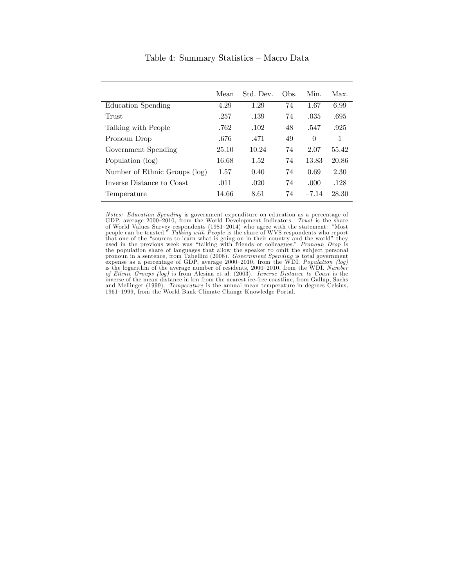|                               | Mean  | Std. Dev. | Obs. | Min.     | Max.  |
|-------------------------------|-------|-----------|------|----------|-------|
| <b>Education Spending</b>     | 4.29  | 1.29      | 74   | 1.67     | 6.99  |
| Trust                         | .257  | .139      | 74   | .035     | .695  |
| Talking with People           | .762  | .102      | 48   | .547     | .925  |
| Pronoun Drop                  | .676  | .471      | 49   | $\Omega$ | 1     |
| Government Spending           | 25.10 | 10.24     | 74   | 2.07     | 55.42 |
| Population (log)              | 16.68 | 1.52      | 74   | 13.83    | 20.86 |
| Number of Ethnic Groups (log) | 1.57  | 0.40      | 74   | 0.69     | 2.30  |
| Inverse Distance to Coast     | .011  | .020      | 74   | .000     | .128  |
| Temperature                   | 14.66 | 8.61      | 74   | $-7.14$  | 28.30 |

Table 4: Summary Statistics – Macro Data

Notes: Education Spending is government expenditure on education as a percentage of GDP, average 2000–2010, from the World Development Indicators. Trust is the share of World Values Survey respondents (1981–2014) who agree with the statement: "Most<br>people can be trusted." *Talking with People* is the share of WVS respondents who report that one of the "sources to learn what is going on in their country and the world" they used in the previous week was "talking with friends or colleagues." *Pronoun Drop* is<br>the population share of languages that allow the speaker to omit the subject personal<br>pronoun in a sentence, from Tabellini (2008). *Gov* expense as a percentage of GDP, average  $2000-2010$ , from the WDI. Population (log) is the logarithm of the average number of residents, 2000–2010, from the WDI.  $Number$ of Ethnic Groups (log) is from Alesina et al. (2003). Inverse Distance to Coast is the inverse of the mean distance in km from the nearest ice-free coastline, from Gallup, Sachs and Mellinger (1999). Temperature is the annual mean temperature in degrees Celsius, 1961–1999, from the World Bank Climate Change Knowledge Portal.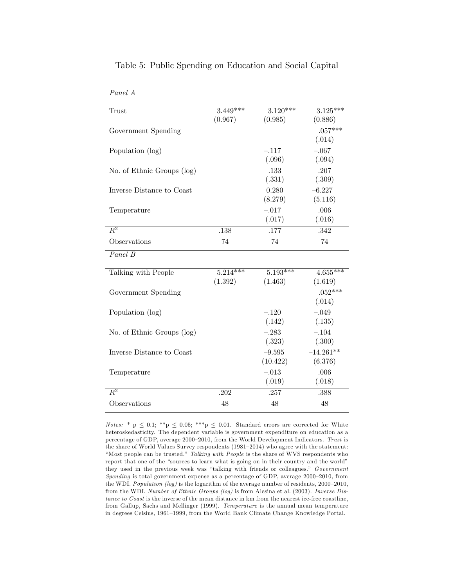| Panel A                    |            |                      |                        |
|----------------------------|------------|----------------------|------------------------|
| Trust                      | $3.449***$ | $3.120***$           | $3.125***$             |
|                            | (0.967)    | (0.985)              | (0.886)                |
| Government Spending        |            |                      | $.057***$              |
|                            |            |                      | (.014)                 |
| Population (log)           |            | $-.117$              | $-.067$                |
|                            |            | (.096)               | (.094)                 |
| No. of Ethnic Groups (log) |            | .133                 | .207                   |
|                            |            | (.331)               | (.309)                 |
| Inverse Distance to Coast  |            | 0.280                | $-6.227$               |
|                            |            | (8.279)              | (5.116)                |
| Temperature                |            | $-.017$              | .006                   |
|                            |            | (.017)               | (.016)                 |
| $\overline{R^2}$           | .138       | .177                 | .342                   |
| Observations               | 74         | 74                   | 74                     |
| $\overline{Panel \ B}$     |            |                      |                        |
| Talking with People        | $5.214***$ | $5.193***$           | $4.655***$             |
|                            | (1.392)    | (1.463)              | (1.619)                |
| Government Spending        |            |                      | $.052***$              |
|                            |            |                      | (.014)                 |
| Population (log)           |            | $-.120$              | $-.049$                |
|                            |            | (.142)               | (.135)                 |
| No. of Ethnic Groups (log) |            | $-.283$              | $-.104$                |
|                            |            | (.323)               | (.300)                 |
| Inverse Distance to Coast  |            | $-9.595$<br>(10.422) | $-14.261**$<br>(6.376) |
| Temperature                |            | $-.013$              | .006                   |
|                            |            | (.019)               | (.018)                 |
| $R^2$                      | .202       | .257                 | .388                   |
| Observations               | 48         | 48                   | 48                     |
|                            |            |                      |                        |

Table 5: Public Spending on Education and Social Capital

Notes: \* p  $\leq 0.1$ ; \*\*p  $\leq 0.05$ ; \*\*\*p  $\leq 0.01$ . Standard errors are corrected for White heteroskedasticity. The dependent variable is government expenditure on education as a percentage of GDP, average 2000–2010, from the World Development Indicators.  $\emph{Trust}$  is the share of World Values Survey respondents (1981-2014) who agree with the statement: "Most people can be trusted." Talking with People is the share of WVS respondents who report that one of the "sources to learn what is going on in their country and the world" they used in the previous week was "talking with friends or colleagues." Government  $Spending$  is total government expense as a percentage of GDP, average 2000–2010, from the WDI. Population (log) is the logarithm of the average number of residents,  $2000-2010$ , from the WDI. Number of Ethnic Groups (log) is from Alesina et al. (2003). Inverse Distance to Coast is the inverse of the mean distance in km from the nearest ice-free coastline, from Gallup, Sachs and Mellinger (1999). Temperature is the annual mean temperature in degrees Celsius, 1961–1999, from the World Bank Climate Change Knowledge Portal.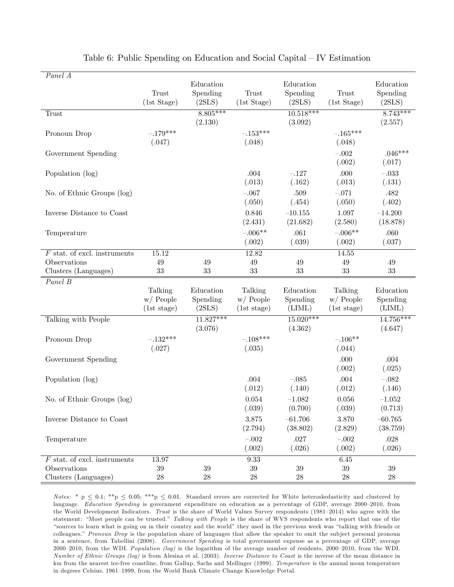| Panel A                              |                      |                  |                      |                  |                  |                      |
|--------------------------------------|----------------------|------------------|----------------------|------------------|------------------|----------------------|
|                                      |                      | Education        |                      | Education        |                  | Education            |
|                                      | Trust                | Spending         | Trust                | Spending         | Trust            | Spending             |
|                                      | (1st Stage)          | (2SLS)           | (1st Stage)          | (2SLS)           | (1st Stage)      | (2SLS)               |
| Trust                                |                      | $8.805***$       |                      | $10.518***$      |                  | $8.743***$           |
|                                      |                      | (2.130)          |                      | (3.092)          |                  | (2.557)              |
| Pronoun Drop                         | $-.179***$           |                  | $-.153***$           |                  | $-.165***$       |                      |
|                                      | (.047)               |                  | (.048)               |                  | (.048)           |                      |
| Government Spending                  |                      |                  |                      |                  | $-.002$          | $.046***$            |
|                                      |                      |                  |                      |                  | (.002)           | (.017)               |
|                                      |                      |                  |                      |                  |                  |                      |
| Population (log)                     |                      |                  | .004                 | $-.127$          | .000             | $-.033$              |
|                                      |                      |                  | (.013)               | (.162)           | (.013)           | (.131)               |
| No. of Ethnic Groups (log)           |                      |                  | $-.067$              | .509             | $-.071$          | .482                 |
|                                      |                      |                  | (.050)               | (.454)           | (.050)           | (.402)               |
| Inverse Distance to Coast            |                      |                  | 0.846                | $-10.155$        | 1.097            | $-14.200$            |
|                                      |                      |                  | (2.431)              | (21.682)         | (2.580)          | (18.878)             |
| Temperature                          |                      |                  | $-.006**$            | .061             | $-.006**$        | .060                 |
|                                      |                      |                  | (.002)               | (.039)           | (.002)           | (.037)               |
| $F$ stat. of excl. instruments       | 15.12                |                  | 12.82                |                  | 14.55            |                      |
| Observations                         | $49\,$               | 49               | 49                   | $49\,$           | $49\,$           | 49                   |
| Clusters (Languages)                 | 33                   | 33               | 33                   | $33\,$           | 33               | 33                   |
| Panel B                              |                      |                  |                      |                  |                  |                      |
|                                      | Talking              | Education        | Talking              | Education        | Talking          | Education            |
|                                      | $w/$ People          | Spending         | $w/$ People          | Spending         | $w/$ People      | Spending             |
|                                      | (1st stage)          | (2SLS)           | (1st stage)          | (LIML)           | (1st stage)      | (LIML)               |
|                                      |                      |                  |                      |                  |                  |                      |
|                                      |                      |                  |                      |                  |                  |                      |
| Talking with People                  |                      | $11.827***$      |                      | $15.020***$      |                  | $14.756***$          |
|                                      |                      | (3.076)          |                      | (4.362)          |                  | (4.647)              |
| Pronoun Drop                         | $-.132***$           |                  | $-.108***$           |                  | $-.106**$        |                      |
|                                      | (.027)               |                  | (.035)               |                  | (.044)           |                      |
| Government Spending                  |                      |                  |                      |                  | .000             | .004                 |
|                                      |                      |                  |                      |                  | (.002)           | (.025)               |
| Population (log)                     |                      |                  | .004                 | $-.085$          | .004             | $-.082$              |
|                                      |                      |                  | (.012)               | (.140)           | (.012)           | (.146)               |
|                                      |                      |                  |                      |                  |                  |                      |
| No. of Ethnic Groups (log)           |                      |                  | 0.054                | $-1.082$         | 0.056            | $-1.052$             |
|                                      |                      |                  | (.039)               | (0.700)          | (.039)           | (0.713)              |
| Inverse Distance to Coast            |                      |                  | 3.875                | $-61.706$        | 3.870            | $-60.765$            |
|                                      |                      |                  | (2.794)              | (38.802)         | (2.829)          | (38.759)             |
| Temperature                          |                      |                  | $-.002$              | .027             | $-.002$          | $.028\,$             |
|                                      |                      |                  | (.002)               | (.026)           | (.002)           | (.026)               |
| $F$ stat. of excl. instruments       | 13.97                |                  | 9.33                 |                  | $6.45\,$         |                      |
| Observations<br>Clusters (Languages) | $39\,$<br>${\bf 28}$ | $39\,$<br>$28\,$ | $39\,$<br>${\bf 28}$ | $39\,$<br>$28\,$ | $39\,$<br>$28\,$ | $39\,$<br>${\bf 28}$ |

#### Table 6: Public Spending on Education and Social Capital  $-V$  Estimation

Notes: \* p  $\leq 0.1$ ; \*\*p  $\leq 0.05$ ; \*\*\*p  $\leq 0.01$ . Standard errors are corrected for White heteroskedasticity and clustered by language. Education Spending is government expenditure on education as a percentage of GDP, average 2000-2010, from the World Development Indicators. Trust is the share of World Values Survey respondents (1981–2014) who agree with the statement: "Most people can be trusted." Talking with People is the share of WVS respondents who report that one of the "sources to learn what is going on in their country and the world" they used in the previous week was "talking with friends or colleagues." Pronoun Drop is the population share of languages that allow the speaker to omit the subject personal pronoun in a sentence, from Tabellini (2008). Government Spending is total government expense as a percentage of GDP, average 2000-2010, from the WDI. Population (log) is the logarithm of the average number of residents, 2000-2010, from the WDI. Number of Ethnic Groups (log) is from Alesina et al. (2003). Inverse Distance to Coast is the inverse of the mean distance in km from the nearest ice-free coastline, from Gallup, Sachs and Mellinger (1999). Temperature is the annual mean temperature in degrees Celsius, 1961–1999, from the World Bank Climate Change Knowledge Portal.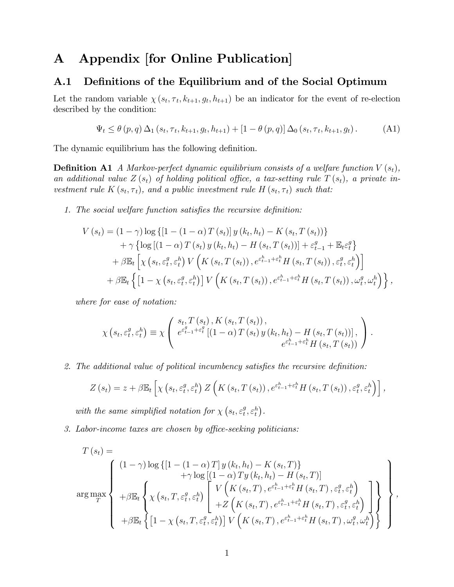# A Appendix [for Online Publication]

### A.1 Definitions of the Equilibrium and of the Social Optimum

Let the random variable  $\chi(s_t, \tau_t, k_{t+1}, g_t, h_{t+1})$  be an indicator for the event of re-election described by the condition:

$$
\Psi_{t} \leq \theta(p,q) \, \Delta_{1} \left(s_{t}, \tau_{t}, k_{t+1}, g_{t}, h_{t+1}\right) + \left[1 - \theta(p,q)\right] \Delta_{0} \left(s_{t}, \tau_{t}, k_{t+1}, g_{t}\right). \tag{A1}
$$

The dynamic equilibrium has the following definition.

**Definition A1** A Markov-perfect dynamic equilibrium consists of a welfare function  $V(s_t)$ , an additional value  $Z(s_t)$  of holding political office, a tax-setting rule  $T(s_t)$ , a private investment rule  $K(s_t, \tau_t)$ , and a public investment rule  $H(s_t, \tau_t)$  such that:

1. The social welfare function satisfies the recursive definition:

$$
V(s_{t}) = (1 - \gamma) \log \{ [1 - (1 - \alpha) T (s_{t})] y (k_{t}, h_{t}) - K (s_{t}, T (s_{t})) \} + \gamma \{ \log [(1 - \alpha) T (s_{t}) y (k_{t}, h_{t}) - H (s_{t}, T (s_{t}))] + \varepsilon_{t-1}^{g} + \mathbb{E}_{t} \varepsilon_{t}^{g} \} + \beta \mathbb{E}_{t} \left[ \chi (s_{t}, \varepsilon_{t}^{g}, \varepsilon_{t}^{h}) V (K (s_{t}, T (s_{t})), e^{\varepsilon_{t-1}^{h} + \varepsilon_{t}^{h}} H (s_{t}, T (s_{t})), \varepsilon_{t}^{g}, \varepsilon_{t}^{h}) \right] + \beta \mathbb{E}_{t} \left\{ [1 - \chi (s_{t}, \varepsilon_{t}^{g}, \varepsilon_{t}^{h})] V (K (s_{t}, T (s_{t})), e^{\varepsilon_{t-1}^{h} + \varepsilon_{t}^{h}} H (s_{t}, T (s_{t})), \omega_{t}^{g}, \omega_{t}^{h}) \right\},
$$

where for ease of notation:

$$
\chi\left(s_{t}, \varepsilon_{t}^{g}, \varepsilon_{t}^{h}\right) \equiv \chi\left(\begin{array}{c} s_{t}, T\left(s_{t}\right), K\left(s_{t}, T\left(s_{t}\right)\right), \\ \varepsilon_{t-1}^{g} + \varepsilon_{t}^{g} \left[\left(1-\alpha\right) T\left(s_{t}\right) y\left(k_{t}, h_{t}\right) - H\left(s_{t}, T\left(s_{t}\right)\right)\right], \\ \varepsilon_{t-1}^{g} + \varepsilon_{t}^{h} H\left(s_{t}, T\left(s_{t}\right)\right) \end{array}\right).
$$

2. The additional value of political incumbency satisfies the recursive definition:

$$
Z(s_t) = z + \beta \mathbb{E}_t \left[ \chi \left( s_t, \varepsilon_t^g, \varepsilon_t^h \right) Z \left( K \left( s_t, T \left( s_t \right) \right), e^{\varepsilon_{t-1}^h + \varepsilon_t^h} H \left( s_t, T \left( s_t \right) \right), \varepsilon_t^g, \varepsilon_t^h \right) \right],
$$

with the same simplified notation for  $\chi$   $(s_t, \varepsilon_t^g)$  $t^g, \varepsilon_t^h$ .

3. Labor-income taxes are chosen by office-seeking politicians:

$$
T(s_t) = \begin{Bmatrix} (1 - \gamma) \log \left\{ \left[ 1 - (1 - \alpha) T \right] y (k_t, h_t) - K(s_t, T) \right\} \\ + \gamma \log \left\{ \left[ (1 - \alpha) T y (k_t, h_t) - H(s_t, T) \right] \right\} \\ + \beta \mathbb{E}_t \begin{Bmatrix} \chi \left( s_t, T, \varepsilon_t^g, \varepsilon_t^h \right) \left[ V \left( K(s_t, T), e^{\varepsilon_{t-1}^h + \varepsilon_t^h} H(s_t, T), \varepsilon_t^g, \varepsilon_t^h \right) \\ + Z \left( K(s_t, T), e^{\varepsilon_{t-1}^h + \varepsilon_t^h} H(s_t, T), \varepsilon_t^g, \varepsilon_t^h \right) \right] \\ + \beta \mathbb{E}_t \begin{Bmatrix} \left[ 1 - \chi \left( s_t, T, \varepsilon_t^g, \varepsilon_t^h \right) \right] V \left( K(s_t, T), e^{\varepsilon_{t-1}^h + \varepsilon_t^h} H(s_t, T), \omega_t^g, \omega_t^h \right) \end{Bmatrix} \end{Bmatrix},
$$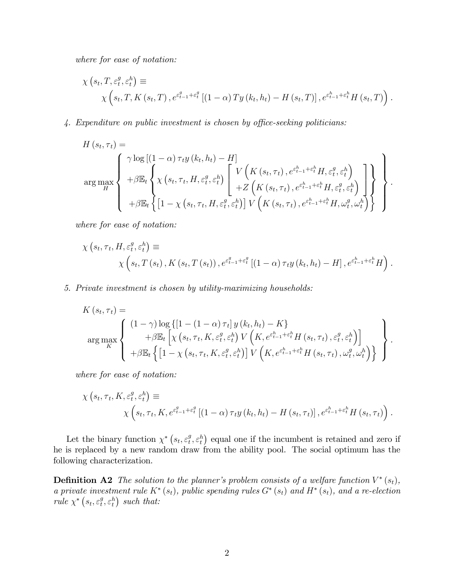where for ease of notation:

$$
\chi\left(s_t, T, \varepsilon_t^g, \varepsilon_t^h\right) \equiv \qquad \qquad \chi\left(s_t, T, K\left(s_t, T\right), e^{\varepsilon_{t-1}^g + \varepsilon_t^g} \left[ (1 - \alpha) \, T y\left(k_t, h_t\right) - H\left(s_t, T\right) \right], e^{\varepsilon_{t-1}^h + \varepsilon_t^h} H\left(s_t, T\right) \right).
$$

4. Expenditure on public investment is chosen by office-seeking politicians:

$$
H(s_t, \tau_t) = \sqrt{\gamma \log \left[ (1 - \alpha) \tau_t y (k_t, h_t) - H \right]}
$$
  
arg max
$$
H
$$

$$
+ \beta \mathbb{E}_t \left\{ \chi(s_t, \tau_t, H, \varepsilon_t^g, \varepsilon_t^h) \left[ V \left( K(s_t, \tau_t), e^{\varepsilon_{t-1}^h + \varepsilon_t^h} H, \varepsilon_t^g, \varepsilon_t^h \right) - Z \left( K(s_t, \tau_t), e^{\varepsilon_{t-1}^h + \varepsilon_t^h} H, \varepsilon_t^g, \varepsilon_t^h \right) \right] \right\} + \beta \mathbb{E}_t \left\{ \left[ 1 - \chi(s_t, \tau_t, H, \varepsilon_t^g, \varepsilon_t^h) \right] V \left( K(s_t, \tau_t), e^{\varepsilon_{t-1}^h + \varepsilon_t^h} H, \omega_t^g, \omega_t^h \right) \right\} \right\}.
$$

where for ease of notation:

$$
\chi\left(s_t, \tau_t, H, \varepsilon_t^g, \varepsilon_t^h\right) \equiv \qquad \qquad \chi\left(s_t, T\left(s_t\right), K\left(s_t, T\left(s_t\right)\right), e^{\varepsilon_{t-1}^g + \varepsilon_t^g} \left[ \left(1 - \alpha\right) \tau_t y\left(k_t, h_t\right) - H \right], e^{\varepsilon_{t-1}^h + \varepsilon_t^h} H \right).
$$

5. Private investment is chosen by utility-maximizing households:

$$
K(s_t, \tau_t) = \n\begin{cases}\n(1 - \gamma) \log \left\{ \left[ 1 - (1 - \alpha) \tau_t \right] y(k_t, h_t) - K \right\} \\
+ \beta \mathbb{E}_t \left[ \chi \left( s_t, \tau_t, K, \varepsilon_t^g, \varepsilon_t^h \right) V \left( K, e^{\varepsilon_{t-1}^h + \varepsilon_t^h} H(s_t, \tau_t), \varepsilon_t^g, \varepsilon_t^h \right) \right] \\
+ \beta \mathbb{E}_t \left\{ \left[ 1 - \chi \left( s_t, \tau_t, K, \varepsilon_t^g, \varepsilon_t^h \right) \right] V \left( K, e^{\varepsilon_{t-1}^h + \varepsilon_t^h} H(s_t, \tau_t), \omega_t^g, \omega_t^h \right) \right\}\n\end{cases}.
$$

where for ease of notation:

$$
\chi\left(s_{t},\tau_{t},K,\varepsilon_{t}^{g},\varepsilon_{t}^{h}\right) \equiv\n\chi\left(s_{t},\tau_{t},K,e^{\varepsilon_{t-1}^{g}+\varepsilon_{t}^{g}}\left[\left(1-\alpha\right)\tau_{t}y\left(k_{t},h_{t}\right)-H\left(s_{t},\tau_{t}\right)\right],e^{\varepsilon_{t-1}^{h}+\varepsilon_{t}^{h}}H\left(s_{t},\tau_{t}\right)\right).
$$

Let the binary function  $\chi^*$   $(s_t, \varepsilon_t^g)$  $(t^g, \varepsilon_t^h)$  equal one if the incumbent is retained and zero if he is replaced by a new random draw from the ability pool. The social optimum has the following characterization.

**Definition A2** The solution to the planner's problem consists of a welfare function  $V^*(s_t)$ , a private investment rule  $K^*(s_t)$ , public spending rules  $G^*(s_t)$  and  $H^*(s_t)$ , and a re-election rule  $\chi^*$   $(s_t, \varepsilon_t^g)$  $(\epsilon_t^g, \epsilon_t^h)$  such that: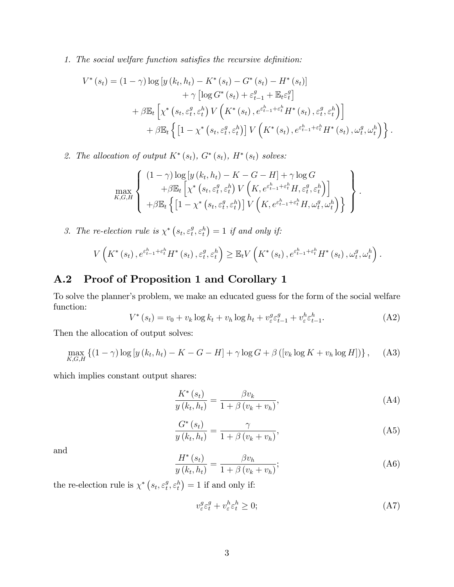#### 1. The social welfare function satisfies the recursive definition:

$$
V^*(s_t) = (1 - \gamma) \log \left[ y (k_t, h_t) - K^* (s_t) - G^* (s_t) - H^* (s_t) \right] + \gamma \left[ \log G^* (s_t) + \varepsilon_{t-1}^g + \mathbb{E}_t \varepsilon_t^g \right] + \beta \mathbb{E}_t \left[ \chi^* (s_t, \varepsilon_t^g, \varepsilon_t^h) V \left( K^* (s_t), e^{\varepsilon_{t-1}^h + \varepsilon_t^h} H^* (s_t), \varepsilon_t^g, \varepsilon_t^h \right) \right] + \beta \mathbb{E}_t \left\{ \left[ 1 - \chi^* (s_t, \varepsilon_t^g, \varepsilon_t^h) \right] V \left( K^* (s_t), e^{\varepsilon_{t-1}^h + \varepsilon_t^h} H^* (s_t), \omega_t^g, \omega_t^h \right) \right\}.
$$

2. The allocation of output  $K^*(s_t)$ ,  $G^*(s_t)$ ,  $H^*(s_t)$  solves:

$$
\max_{K,G,H} \left\{ \begin{array}{l} (1-\gamma)\log\left[y\left(k_t,h_t\right)-K-G-H\right]+\gamma\log G\\ +\beta \mathbb{E}_t \left[\chi^*\left(s_t,\varepsilon_t^g,\varepsilon_t^h\right)V\left(K,e^{s_{t-1}^h+\varepsilon_t^h}H,\varepsilon_t^g,\varepsilon_t^h\right)\right] \\ +\beta \mathbb{E}_t \left\{\left[1-\chi^*\left(s_t,\varepsilon_t^g,\varepsilon_t^h\right)\right]V\left(K,e^{s_{t-1}^h+\varepsilon_t^h}H,\omega_t^g,\omega_t^h\right)\right\} \end{array} \right\}.
$$

3. The re-election rule is  $\chi^*$   $(s_t, \varepsilon_t^g)$  $\{e^{\theta}_t, \varepsilon^h_t\} = 1$  if and only if:

$$
V\left(K^*(s_t), e^{\varepsilon_{t-1}^h + \varepsilon_t^h} H^*(s_t), \varepsilon_t^g, \varepsilon_t^h\right) \geq \mathbb{E}_t V\left(K^*(s_t), e^{\varepsilon_{t-1}^h + \varepsilon_t^h} H^*(s_t), \omega_t^g, \omega_t^h\right).
$$

## A.2 Proof of Proposition 1 and Corollary 1

To solve the planner's problem, we make an educated guess for the form of the social welfare function:

$$
V^*(s_t) = v_0 + v_k \log k_t + v_h \log h_t + v_\varepsilon^g \varepsilon_{t-1}^g + v_\varepsilon^h \varepsilon_{t-1}^h. \tag{A2}
$$

Then the allocation of output solves:

$$
\max_{K,G,H} \left\{ (1-\gamma) \log \left[ y \left( k_t, h_t \right) - K - G - H \right] + \gamma \log G + \beta \left( \left[ v_k \log K + v_h \log H \right] \right) \right\}, \quad \text{(A3)}
$$

which implies constant output shares:

$$
\frac{K^*(s_t)}{y(k_t, h_t)} = \frac{\beta v_k}{1 + \beta (v_k + v_h)},\tag{A4}
$$

$$
\frac{G^*(s_t)}{y(k_t, h_t)} = \frac{\gamma}{1 + \beta(v_k + v_h)},\tag{A5}
$$

and

$$
\frac{H^*(s_t)}{y(k_t, h_t)} = \frac{\beta v_h}{1 + \beta (v_k + v_h)};
$$
\n(A6)

the re-election rule is  $\chi^*$   $(s_t, \varepsilon_t^g)$  $\{e^{\theta}, e^h_t\} = 1$  if and only if:

$$
v_{\varepsilon}^g \varepsilon_t^g + v_{\varepsilon}^h \varepsilon_t^h \ge 0; \tag{A7}
$$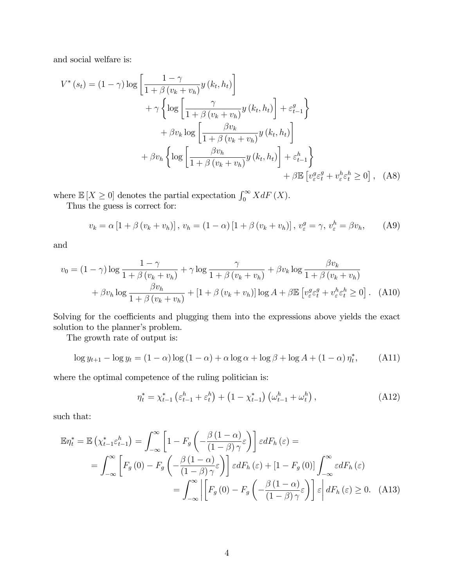and social welfare is:

$$
V^*(s_t) = (1 - \gamma) \log \left[ \frac{1 - \gamma}{1 + \beta (v_k + v_h)} y(k_t, h_t) \right]
$$
  
+  $\gamma \left\{ \log \left[ \frac{\gamma}{1 + \beta (v_k + v_h)} y(k_t, h_t) \right] + \varepsilon_{t-1}^g \right\}$   
+  $\beta v_k \log \left[ \frac{\beta v_k}{1 + \beta (v_k + v_h)} y(k_t, h_t) \right]$   
+  $\beta v_h \left\{ \log \left[ \frac{\beta v_h}{1 + \beta (v_k + v_h)} y(k_t, h_t) \right] + \varepsilon_{t-1}^h \right\}$   
+  $\beta \mathbb{E} \left[ v_\varepsilon^g \varepsilon_t^g + v_\varepsilon^h \varepsilon_t^h \ge 0 \right],$  (A8)

where  $\mathbb{E}[X \geq 0]$  denotes the partial expectation  $\int_0^\infty X dF(X)$ .

Thus the guess is correct for:

$$
v_k = \alpha \left[ 1 + \beta \left( v_k + v_h \right) \right], v_h = \left( 1 - \alpha \right) \left[ 1 + \beta \left( v_k + v_h \right) \right], v_\varepsilon^g = \gamma, v_\varepsilon^h = \beta v_h, \tag{A9}
$$

and

$$
v_0 = (1 - \gamma) \log \frac{1 - \gamma}{1 + \beta (v_k + v_h)} + \gamma \log \frac{\gamma}{1 + \beta (v_k + v_h)} + \beta v_k \log \frac{\beta v_k}{1 + \beta (v_k + v_h)}
$$
  
+ 
$$
\beta v_h \log \frac{\beta v_h}{1 + \beta (v_k + v_h)} + [1 + \beta (v_k + v_h)] \log A + \beta \mathbb{E} \left[ v_\varepsilon^g \varepsilon_t^g + v_\varepsilon^h \varepsilon_t^h \ge 0 \right]. \tag{A10}
$$

Solving for the coefficients and plugging them into the expressions above yields the exact solution to the planner's problem.

The growth rate of output is:

$$
\log y_{t+1} - \log y_t = (1 - \alpha) \log (1 - \alpha) + \alpha \log \alpha + \log \beta + \log A + (1 - \alpha) \eta_t^*, \tag{A11}
$$

where the optimal competence of the ruling politician is:

$$
\eta_t^* = \chi_{t-1}^* \left( \varepsilon_{t-1}^h + \varepsilon_t^h \right) + \left( 1 - \chi_{t-1}^* \right) \left( \omega_{t-1}^h + \omega_t^h \right), \tag{A12}
$$

such that:

$$
\mathbb{E}\eta_t^* = \mathbb{E}\left(\chi_{t-1}^*\varepsilon_{t-1}^h\right) = \int_{-\infty}^{\infty} \left[1 - F_g\left(-\frac{\beta(1-\alpha)}{(1-\beta)\gamma}\varepsilon\right)\right] \varepsilon dF_h\left(\varepsilon\right) =
$$
\n
$$
= \int_{-\infty}^{\infty} \left[F_g\left(0\right) - F_g\left(-\frac{\beta(1-\alpha)}{(1-\beta)\gamma}\varepsilon\right)\right] \varepsilon dF_h\left(\varepsilon\right) + \left[1 - F_g\left(0\right)\right] \int_{-\infty}^{\infty} \varepsilon dF_h\left(\varepsilon\right)
$$
\n
$$
= \int_{-\infty}^{\infty} \left| \left[F_g\left(0\right) - F_g\left(-\frac{\beta(1-\alpha)}{(1-\beta)\gamma}\varepsilon\right)\right] \varepsilon \right| dF_h\left(\varepsilon\right) \ge 0. \quad \text{(A13)}
$$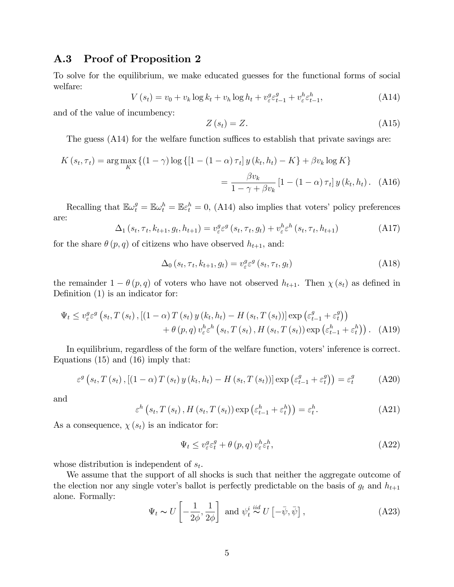## A.3 Proof of Proposition 2

To solve for the equilibrium, we make educated guesses for the functional forms of social welfare:

$$
V(s_t) = v_0 + v_k \log k_t + v_h \log h_t + v_{\varepsilon}^g \varepsilon_{t-1}^g + v_{\varepsilon}^h \varepsilon_{t-1}^h,
$$
\n(A14)

and of the value of incumbency:

$$
Z(s_t) = Z.
$$
 (A15)

The guess  $(A14)$  for the welfare function suffices to establish that private savings are:

$$
K(s_t, \tau_t) = \arg\max_{K} \left\{ (1 - \gamma) \log \left\{ \left[ 1 - (1 - \alpha) \tau_t \right] y \left( k_t, h_t \right) - K \right\} + \beta v_k \log K \right\}
$$

$$
= \frac{\beta v_k}{1 - \gamma + \beta v_k} \left[ 1 - (1 - \alpha) \tau_t \right] y \left( k_t, h_t \right). \tag{A16}
$$

Recalling that  $\mathbb{E}\omega_t^g = \mathbb{E}\omega_t^h = \mathbb{E}\varepsilon_t^h = 0$ , (A14) also implies that voters' policy preferences are:

$$
\Delta_1(s_t, \tau_t, k_{t+1}, g_t, h_{t+1}) = v_\varepsilon^g \varepsilon^g(s_t, \tau_t, g_t) + v_\varepsilon^h \varepsilon^h(s_t, \tau_t, h_{t+1})
$$
\n(A17)

for the share  $\theta(p, q)$  of citizens who have observed  $h_{t+1}$ , and:

$$
\Delta_0(s_t, \tau_t, k_{t+1}, g_t) = v_\varepsilon^g \varepsilon^g(s_t, \tau_t, g_t)
$$
\n(A18)

the remainder  $1 - \theta(p, q)$  of voters who have not observed  $h_{t+1}$ . Then  $\chi(s_t)$  as defined in Definition  $(1)$  is an indicator for:

$$
\Psi_{t} \leq v_{\varepsilon}^{g} \varepsilon^{g} \left( s_{t}, T\left(s_{t}\right), \left[ \left( 1 - \alpha \right) T\left(s_{t}\right) y\left(k_{t}, h_{t}\right) - H\left(s_{t}, T\left(s_{t}\right) \right) \right] \exp\left(\varepsilon_{t-1}^{g} + \varepsilon_{t}^{g}\right) \right) \n+ \theta\left(p, q\right) v_{\varepsilon}^{h} \varepsilon^{h} \left( s_{t}, T\left(s_{t}\right), H\left(s_{t}, T\left(s_{t}\right) \right) \exp\left(\varepsilon_{t-1}^{h} + \varepsilon_{t}^{h}\right) \right). \tag{A19}
$$

In equilibrium, regardless of the form of the welfare function, voters' inference is correct. Equations (15) and (16) imply that:

$$
\varepsilon^{g}\left(s_{t}, T\left(s_{t}\right), \left[\left(1-\alpha\right) T\left(s_{t}\right) y\left(k_{t}, h_{t}\right)-H\left(s_{t}, T\left(s_{t}\right)\right)\right] \exp\left(\varepsilon_{t-1}^{g}+\varepsilon_{t}^{g}\right)\right)=\varepsilon_{t}^{g} \tag{A20}
$$

and

$$
\varepsilon^{h}\left(s_{t}, T\left(s_{t}\right), H\left(s_{t}, T\left(s_{t}\right)\right) \exp\left(\varepsilon_{t-1}^{h} + \varepsilon_{t}^{h}\right)\right) = \varepsilon_{t}^{h}.\tag{A21}
$$

As a consequence,  $\chi(s_t)$  is an indicator for:

$$
\Psi_t \leq v_\varepsilon^g \varepsilon_t^g + \theta \left( p, q \right) v_\varepsilon^h \varepsilon_t^h,\tag{A22}
$$

whose distribution is independent of  $s_t$ .

We assume that the support of all shocks is such that neither the aggregate outcome of the election nor any single voter's ballot is perfectly predictable on the basis of  $g_t$  and  $h_{t+1}$ alone. Formally:

$$
\Psi_t \sim U\left[-\frac{1}{2\phi}, \frac{1}{2\phi}\right] \text{ and } \psi_t^i \stackrel{iid}{\sim} U\left[-\bar{\psi}, \bar{\psi}\right],\tag{A23}
$$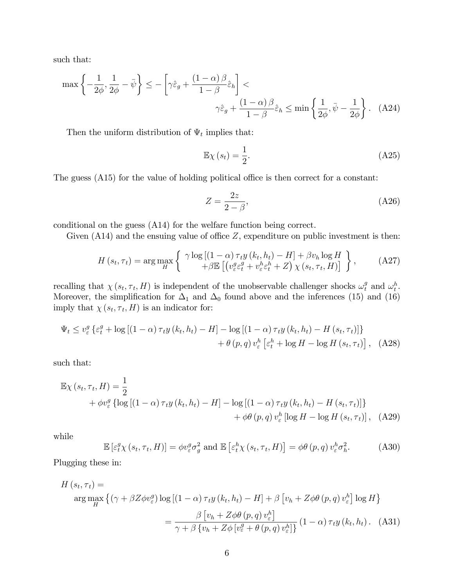such that:

$$
\max\left\{-\frac{1}{2\phi}, \frac{1}{2\phi} - \bar{\psi}\right\} \le -\left[\gamma\hat{\varepsilon}_g + \frac{(1-\alpha)\beta}{1-\beta}\hat{\varepsilon}_h\right] < \gamma\hat{\varepsilon}_g + \frac{(1-\alpha)\beta}{1-\beta}\hat{\varepsilon}_h \le \min\left\{\frac{1}{2\phi}, \bar{\psi} - \frac{1}{2\phi}\right\}.
$$
 (A24)

Then the uniform distribution of  $\Psi_t$  implies that:

$$
\mathbb{E}\chi\left(s_{t}\right)=\frac{1}{2}.\tag{A25}
$$

The guess  $(A15)$  for the value of holding political office is then correct for a constant:

$$
Z = \frac{2z}{2 - \beta},\tag{A26}
$$

conditional on the guess (A14) for the welfare function being correct.

Given  $(A14)$  and the ensuing value of office Z, expenditure on public investment is then:

$$
H(s_t, \tau_t) = \arg\max_{H} \left\{ \begin{array}{c} \gamma \log \left[ (1 - \alpha) \tau_t y \left( k_t, h_t \right) - H \right] + \beta v_h \log H \\ + \beta \mathbb{E} \left[ \left( v_\varepsilon^g \varepsilon_t^g + v_\varepsilon^h \varepsilon_t^h + Z \right) \chi \left( s_t, \tau_t, H \right) \right] \end{array} \right\}, \tag{A27}
$$

recalling that  $\chi(s_t, \tau_t, H)$  is independent of the unobservable challenger shocks  $\omega_t^g$  and  $\omega_t^h$ . Moreover, the simplification for  $\Delta_1$  and  $\Delta_0$  found above and the inferences (15) and (16) imply that  $\chi(s_t, \tau_t, H)$  is an indicator for:

$$
\Psi_{t} \leq v_{\varepsilon}^{g} \left\{ \varepsilon_{t}^{g} + \log \left[ (1 - \alpha) \tau_{t} y \left( k_{t}, h_{t} \right) - H \right] - \log \left[ (1 - \alpha) \tau_{t} y \left( k_{t}, h_{t} \right) - H \left( s_{t}, \tau_{t} \right) \right] \right\} + \theta \left( p, q \right) v_{\varepsilon}^{h} \left[ \varepsilon_{t}^{h} + \log H - \log H \left( s_{t}, \tau_{t} \right) \right], \tag{A28}
$$

such that:

$$
\mathbb{E}\chi(s_t, \tau_t, H) = \frac{1}{2} \n+ \phi v_{\varepsilon}^g \left\{ \log \left[ (1 - \alpha) \tau_t y(k_t, h_t) - H \right] - \log \left[ (1 - \alpha) \tau_t y(k_t, h_t) - H(s_t, \tau_t) \right] \right\} \n+ \phi \theta(p, q) v_{\varepsilon}^h \left[ \log H - \log H(s_t, \tau_t) \right], \quad (A29)
$$

while

$$
\mathbb{E}\left[\varepsilon_t^g \chi\left(s_t, \tau_t, H\right)\right] = \phi v_\varepsilon^g \sigma_g^2 \text{ and } \mathbb{E}\left[\varepsilon_t^h \chi\left(s_t, \tau_t, H\right)\right] = \phi \theta\left(p, q\right) v_\varepsilon^h \sigma_h^2. \tag{A30}
$$

Plugging these in:

$$
H(s_t, \tau_t) =
$$
  
arg max<sub>H</sub> { $(\gamma + \beta Z \phi v_{\varepsilon}^g) \log [(1 - \alpha) \tau_t y (k_t, h_t) - H] + \beta [v_h + Z \phi \theta (p, q) v_{\varepsilon}^h] \log H$ }  

$$
= \frac{\beta [v_h + Z \phi \theta (p, q) v_{\varepsilon}^h]}{\gamma + \beta \{v_h + Z \phi [v_{\varepsilon}^g + \theta (p, q) v_{\varepsilon}^h] \}} (1 - \alpha) \tau_t y (k_t, h_t).
$$
 (A31)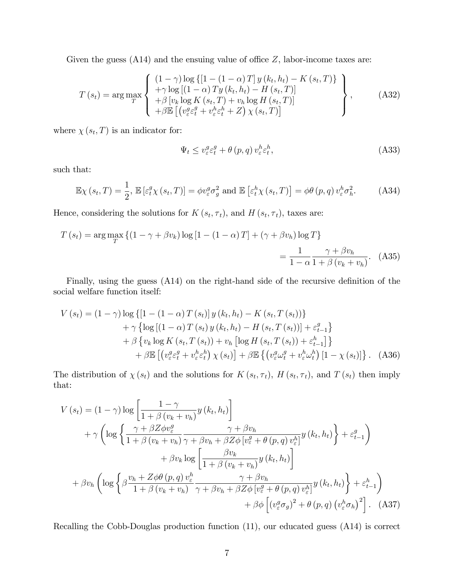Given the guess  $(A14)$  and the ensuing value of office Z, labor-income taxes are:

$$
T(s_t) = \arg \max_{T} \left\{ \begin{array}{l} (1 - \gamma) \log \left\{ \left[ 1 - (1 - \alpha) T \right] y \left( k_t, h_t \right) - K \left( s_t, T \right) \right\} \\ + \gamma \log \left[ \left( 1 - \alpha \right) T y \left( k_t, h_t \right) - H \left( s_t, T \right) \right] \\ + \beta \left[ v_k \log K \left( s_t, T \right) + v_h \log H \left( s_t, T \right) \right] \\ + \beta \mathbb{E} \left[ \left( v_\varepsilon^g \varepsilon_t^g + v_\varepsilon^h \varepsilon_t^h + Z \right) \chi \left( s_t, T \right) \right] \end{array} \right\}, \tag{A32}
$$

where  $\chi(s_t, T)$  is an indicator for:

$$
\Psi_t \leq v_\varepsilon^g \varepsilon_t^g + \theta \left( p, q \right) v_\varepsilon^h \varepsilon_t^h,\tag{A33}
$$

such that:

$$
\mathbb{E}\chi(s_t,T) = \frac{1}{2}, \mathbb{E}\left[\varepsilon_t^g \chi(s_t,T)\right] = \phi v_\varepsilon^g \sigma_g^2 \text{ and } \mathbb{E}\left[\varepsilon_t^h \chi(s_t,T)\right] = \phi \theta(p,q) \, v_\varepsilon^h \sigma_h^2. \tag{A34}
$$

Hence, considering the solutions for  $K(s_t, \tau_t)$ , and  $H(s_t, \tau_t)$ , taxes are:

$$
T(s_t) = \arg\max_{T} \left\{ (1 - \gamma + \beta v_k) \log\left[1 - (1 - \alpha)T\right] + (\gamma + \beta v_h) \log T \right\}
$$

$$
= \frac{1}{1 - \alpha} \frac{\gamma + \beta v_h}{1 + \beta (v_k + v_h)}.
$$
 (A35)

Finally, using the guess  $(A14)$  on the right-hand side of the recursive definition of the social welfare function itself:

$$
V(s_t) = (1 - \gamma) \log \{ [1 - (1 - \alpha) T (s_t)] y (k_t, h_t) - K (s_t, T (s_t)) \}
$$
  
+ 
$$
\gamma \{ \log [(1 - \alpha) T (s_t) y (k_t, h_t) - H (s_t, T (s_t))] + \varepsilon_{t-1}^g \}
$$
  
+ 
$$
\beta \{ v_k \log K (s_t, T (s_t)) + v_h [\log H (s_t, T (s_t)) + \varepsilon_{t-1}^h ] \}
$$
  
+ 
$$
\beta \mathbb{E} \left[ (v_{\varepsilon}^g \varepsilon_t^g + v_{\varepsilon}^h \varepsilon_t^h) \chi (s_t) \right] + \beta \mathbb{E} \left\{ (v_{\varepsilon}^g \omega_t^g + v_{\varepsilon}^h \omega_t^h) [1 - \chi (s_t)] \right\}.
$$
 (A36)

The distribution of  $\chi(s_t)$  and the solutions for  $K(s_t, \tau_t)$ ,  $H(s_t, \tau_t)$ , and  $T(s_t)$  then imply that:

$$
V(s_t) = (1 - \gamma) \log \left[ \frac{1 - \gamma}{1 + \beta (v_k + v_h)} y(k_t, h_t) \right]
$$
  
+ 
$$
\gamma \left( \log \left\{ \frac{\gamma + \beta Z \phi v_{\epsilon}^g}{1 + \beta (v_k + v_h)} \frac{\gamma + \beta v_h}{\gamma + \beta v_h + \beta Z \phi [v_{\epsilon}^g + \theta (p, q) v_{\epsilon}^h]} y(k_t, h_t) \right\} + \varepsilon_{t-1}^g \right)
$$
  
+ 
$$
\beta v_k \log \left[ \frac{\beta v_k}{1 + \beta (v_k + v_h)} y(k_t, h_t) \right]
$$
  
+ 
$$
\beta v_h \left( \log \left\{ \beta \frac{v_h + Z \phi \theta (p, q) v_{\epsilon}^h}{1 + \beta (v_k + v_h)} \frac{\gamma + \beta v_h}{\gamma + \beta v_h + \beta Z \phi [v_{\epsilon}^g + \theta (p, q) v_{\epsilon}^h]} y(k_t, h_t) \right\} + \varepsilon_{t-1}^h \right)
$$
  
+ 
$$
\beta \phi \left[ (v_{\epsilon}^g \sigma_g)^2 + \theta (p, q) (v_{\epsilon}^h \sigma_h)^2 \right].
$$
 (A37)

Recalling the Cobb-Douglas production function (11), our educated guess (A14) is correct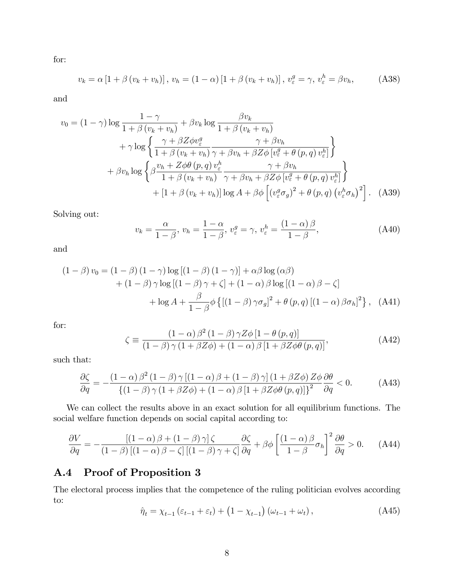for:

$$
v_k = \alpha \left[ 1 + \beta \left( v_k + v_h \right) \right], \ v_h = \left( 1 - \alpha \right) \left[ 1 + \beta \left( v_k + v_h \right) \right], \ v_{\varepsilon}^g = \gamma, \ v_{\varepsilon}^h = \beta v_h, \tag{A38}
$$

and

$$
v_0 = (1 - \gamma) \log \frac{1 - \gamma}{1 + \beta (v_k + v_h)} + \beta v_k \log \frac{\beta v_k}{1 + \beta (v_k + v_h)}
$$
  
+ 
$$
\gamma \log \left\{ \frac{\gamma + \beta Z \phi v_{\varepsilon}^g}{1 + \beta (v_k + v_h)} \frac{\gamma + \beta v_h}{\gamma + \beta v_h + \beta Z \phi [v_{\varepsilon}^g + \theta (p, q) v_{\varepsilon}^h]} \right\}
$$
  
+ 
$$
\beta v_h \log \left\{ \beta \frac{v_h + Z \phi \theta (p, q) v_{\varepsilon}^h}{1 + \beta (v_k + v_h)} \frac{\gamma + \beta v_h}{\gamma + \beta v_h + \beta Z \phi [v_{\varepsilon}^g + \theta (p, q) v_{\varepsilon}^h]} \right\}
$$
  
+ 
$$
[1 + \beta (v_k + v_h)] \log A + \beta \phi \left[ (v_{\varepsilon}^g \sigma_g)^2 + \theta (p, q) (v_{\varepsilon}^h \sigma_h)^2 \right].
$$
 (A39)

Solving out:

$$
v_k = \frac{\alpha}{1 - \beta}, v_h = \frac{1 - \alpha}{1 - \beta}, v_\varepsilon^g = \gamma, v_\varepsilon^h = \frac{(1 - \alpha)\beta}{1 - \beta},
$$
\n(A40)

and

$$
(1 - \beta) v_0 = (1 - \beta) (1 - \gamma) \log [(1 - \beta) (1 - \gamma)] + \alpha \beta \log (\alpha \beta)
$$
  
+ 
$$
(1 - \beta) \gamma \log [(1 - \beta) \gamma + \zeta] + (1 - \alpha) \beta \log [(1 - \alpha) \beta - \zeta]
$$
  
+ 
$$
\log A + \frac{\beta}{1 - \beta} \phi \{[(1 - \beta) \gamma \sigma_g]^2 + \theta (p, q) [(1 - \alpha) \beta \sigma_h]^2 \}, \quad \text{(A41)}
$$

for:

$$
\zeta \equiv \frac{\left(1-\alpha\right)\beta^2 \left(1-\beta\right)\gamma Z\phi \left[1-\theta\left(p,q\right)\right]}{\left(1-\beta\right)\gamma \left(1+\beta Z\phi\right) + \left(1-\alpha\right)\beta \left[1+\beta Z\phi\theta\left(p,q\right)\right]},\tag{A42}
$$

such that:

$$
\frac{\partial \zeta}{\partial q} = -\frac{(1-\alpha)\beta^2 (1-\beta)\gamma [(1-\alpha)\beta + (1-\beta)\gamma] (1+\beta Z\phi) Z\phi \partial \theta}{\{(1-\beta)\gamma (1+\beta Z\phi) + (1-\alpha)\beta [1+\beta Z\phi\theta(p,q)]\}^2} \frac{\partial \phi}{\partial q} < 0.
$$
 (A43)

We can collect the results above in an exact solution for all equilibrium functions. The social welfare function depends on social capital according to:

$$
\frac{\partial V}{\partial q} = -\frac{\left[ (1-\alpha)\beta + (1-\beta)\gamma \right] \zeta}{(1-\beta)\left[ (1-\alpha)\beta - \zeta \right] \left[ (1-\beta)\gamma + \zeta \right]} \frac{\partial \zeta}{\partial q} + \beta \phi \left[ \frac{(1-\alpha)\beta}{1-\beta}\sigma_h \right]^2 \frac{\partial \theta}{\partial q} > 0. \tag{A44}
$$

# A.4 Proof of Proposition 3

The electoral process implies that the competence of the ruling politician evolves according to:

$$
\hat{\eta}_t = \chi_{t-1} \left( \varepsilon_{t-1} + \varepsilon_t \right) + \left( 1 - \chi_{t-1} \right) \left( \omega_{t-1} + \omega_t \right), \tag{A45}
$$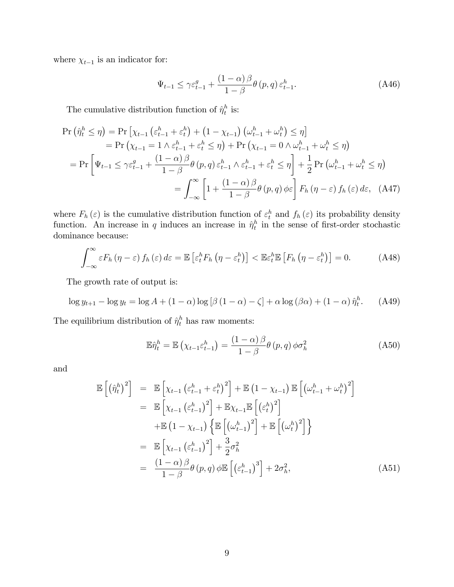where  $\chi_{t-1}$  is an indicator for:

$$
\Psi_{t-1} \leq \gamma \varepsilon_{t-1}^{g} + \frac{(1-\alpha)\beta}{1-\beta} \theta(p,q) \varepsilon_{t-1}^{h}.
$$
\n(A46)

The cumulative distribution function of  $\hat{\eta}_t^h$  $_t^h$  is:

$$
\Pr\left(\hat{\eta}_t^h \leq \eta\right) = \Pr\left[\chi_{t-1}\left(\varepsilon_{t-1}^h + \varepsilon_t^h\right) + \left(1 - \chi_{t-1}\right)\left(\omega_{t-1}^h + \omega_t^h\right) \leq \eta\right] \\
= \Pr\left(\chi_{t-1} = 1 \land \varepsilon_{t-1}^h + \varepsilon_t^h \leq \eta\right) + \Pr\left(\chi_{t-1} = 0 \land \omega_{t-1}^h + \omega_t^h \leq \eta\right) \\
= \Pr\left[\Psi_{t-1} \leq \gamma \varepsilon_{t-1}^g + \frac{(1-\alpha)\beta}{1-\beta}\theta\left(p,q\right)\varepsilon_{t-1}^h \land \varepsilon_{t-1}^h + \varepsilon_t^h \leq \eta\right] + \frac{1}{2}\Pr\left(\omega_{t-1}^h + \omega_t^h \leq \eta\right) \\
= \int_{-\infty}^{\infty} \left[1 + \frac{(1-\alpha)\beta}{1-\beta}\theta\left(p,q\right)\phi\varepsilon\right] F_h\left(\eta - \varepsilon\right)f_h\left(\varepsilon\right)d\varepsilon, \quad \text{(A47)}
$$

where  $F_h(\varepsilon)$  is the cumulative distribution function of  $\varepsilon_t^h$  and  $f_h(\varepsilon)$  its probability density function. An increase in q induces an increase in  $\hat{\eta}_t^h$  $t$ <sup>h</sup> in the sense of first-order stochastic dominance because:

$$
\int_{-\infty}^{\infty} \varepsilon F_h(\eta - \varepsilon) f_h(\varepsilon) d\varepsilon = \mathbb{E} \left[ \varepsilon_t^h F_h(\eta - \varepsilon_t^h) \right] < \mathbb{E} \varepsilon_t^h \mathbb{E} \left[ F_h(\eta - \varepsilon_t^h) \right] = 0. \tag{A48}
$$

The growth rate of output is:

$$
\log y_{t+1} - \log y_t = \log A + (1 - \alpha) \log [\beta (1 - \alpha) - \zeta] + \alpha \log (\beta \alpha) + (1 - \alpha) \hat{\eta}_t^h. \tag{A49}
$$

The equilibrium distribution of  $\hat{\eta}_t^h$  has raw moments:

$$
\mathbb{E}\hat{\eta}_t^h = \mathbb{E}\left(\chi_{t-1}\varepsilon_{t-1}^h\right) = \frac{(1-\alpha)\beta}{1-\beta}\theta\left(p,q\right)\phi\sigma_h^2\tag{A50}
$$

and

$$
\mathbb{E}\left[\left(\hat{\eta}_t^h\right)^2\right] = \mathbb{E}\left[\chi_{t-1}\left(\varepsilon_{t-1}^h + \varepsilon_t^h\right)^2\right] + \mathbb{E}\left(1 - \chi_{t-1}\right)\mathbb{E}\left[\left(\omega_{t-1}^h + \omega_t^h\right)^2\right]
$$
\n
$$
= \mathbb{E}\left[\chi_{t-1}\left(\varepsilon_{t-1}^h\right)^2\right] + \mathbb{E}\chi_{t-1}\mathbb{E}\left[\left(\varepsilon_t^h\right)^2\right]
$$
\n
$$
+ \mathbb{E}\left(1 - \chi_{t-1}\right)\left\{\mathbb{E}\left[\left(\omega_{t-1}^h\right)^2\right] + \mathbb{E}\left[\left(\omega_t^h\right)^2\right]\right\}
$$
\n
$$
= \mathbb{E}\left[\chi_{t-1}\left(\varepsilon_{t-1}^h\right)^2\right] + \frac{3}{2}\sigma_h^2
$$
\n
$$
= \frac{(1-\alpha)\beta}{1-\beta}\theta(p,q)\phi\mathbb{E}\left[\left(\varepsilon_{t-1}^h\right)^3\right] + 2\sigma_h^2,\tag{A51}
$$